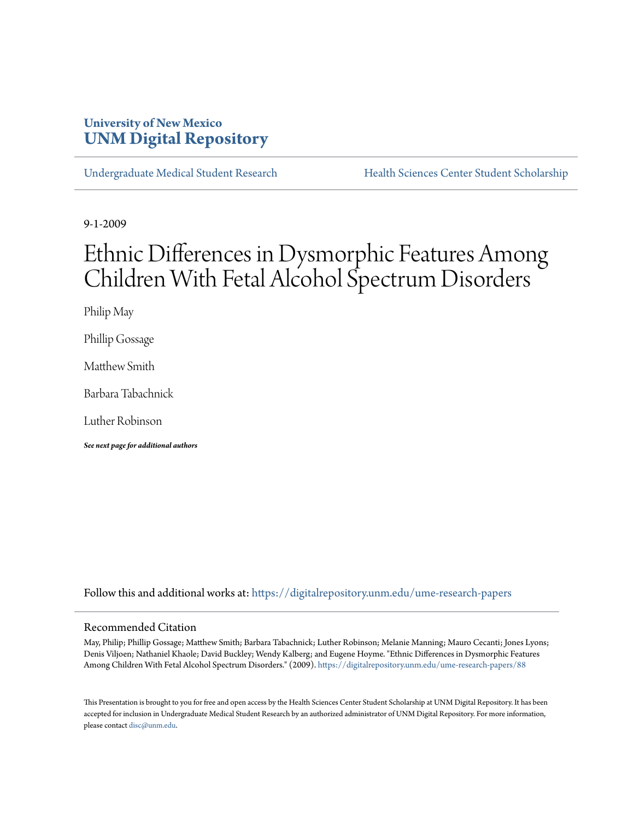# **University of New Mexico [UNM Digital Repository](https://digitalrepository.unm.edu?utm_source=digitalrepository.unm.edu%2Fume-research-papers%2F88&utm_medium=PDF&utm_campaign=PDFCoverPages)**

[Undergraduate Medical Student Research](https://digitalrepository.unm.edu/ume-research-papers?utm_source=digitalrepository.unm.edu%2Fume-research-papers%2F88&utm_medium=PDF&utm_campaign=PDFCoverPages) [Health Sciences Center Student Scholarship](https://digitalrepository.unm.edu/hsc-students?utm_source=digitalrepository.unm.edu%2Fume-research-papers%2F88&utm_medium=PDF&utm_campaign=PDFCoverPages)

9-1-2009

# Ethnic Differences in Dysmorphic Features Among Children With Fetal Alcohol Spectrum Disorders

Philip May

Phillip Gossage

Matthew Smith

Barbara Tabachnick

Luther Robinson

*See next page for additional authors*

Follow this and additional works at: [https://digitalrepository.unm.edu/ume-research-papers](https://digitalrepository.unm.edu/ume-research-papers?utm_source=digitalrepository.unm.edu%2Fume-research-papers%2F88&utm_medium=PDF&utm_campaign=PDFCoverPages)

#### Recommended Citation

May, Philip; Phillip Gossage; Matthew Smith; Barbara Tabachnick; Luther Robinson; Melanie Manning; Mauro Cecanti; Jones Lyons; Denis Viljoen; Nathaniel Khaole; David Buckley; Wendy Kalberg; and Eugene Hoyme. "Ethnic Differences in Dysmorphic Features Among Children With Fetal Alcohol Spectrum Disorders." (2009). [https://digitalrepository.unm.edu/ume-research-papers/88](https://digitalrepository.unm.edu/ume-research-papers/88?utm_source=digitalrepository.unm.edu%2Fume-research-papers%2F88&utm_medium=PDF&utm_campaign=PDFCoverPages)

This Presentation is brought to you for free and open access by the Health Sciences Center Student Scholarship at UNM Digital Repository. It has been accepted for inclusion in Undergraduate Medical Student Research by an authorized administrator of UNM Digital Repository. For more information, please contact [disc@unm.edu.](mailto:disc@unm.edu)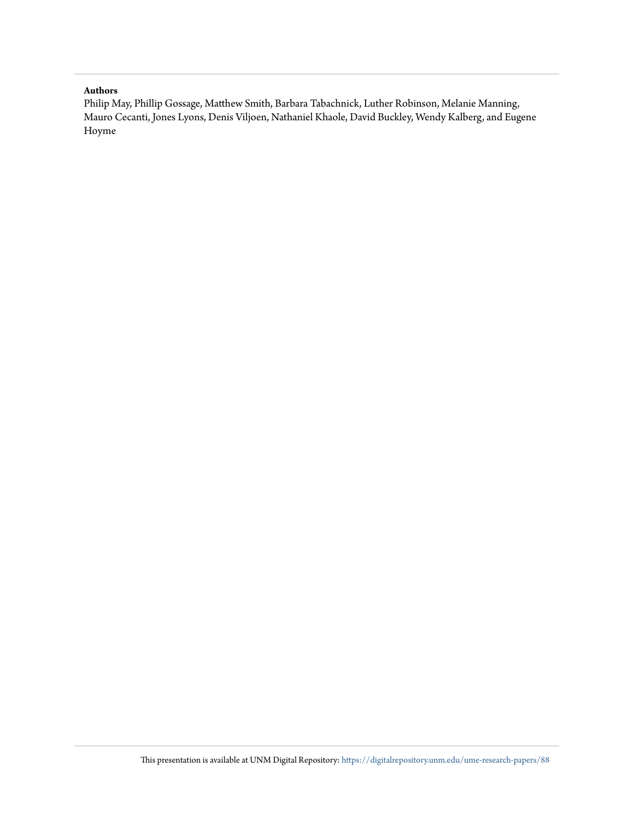#### **Authors**

Philip May, Phillip Gossage, Matthew Smith, Barbara Tabachnick, Luther Robinson, Melanie Manning, Mauro Cecanti, Jones Lyons, Denis Viljoen, Nathaniel Khaole, David Buckley, Wendy Kalberg, and Eugene Hoyme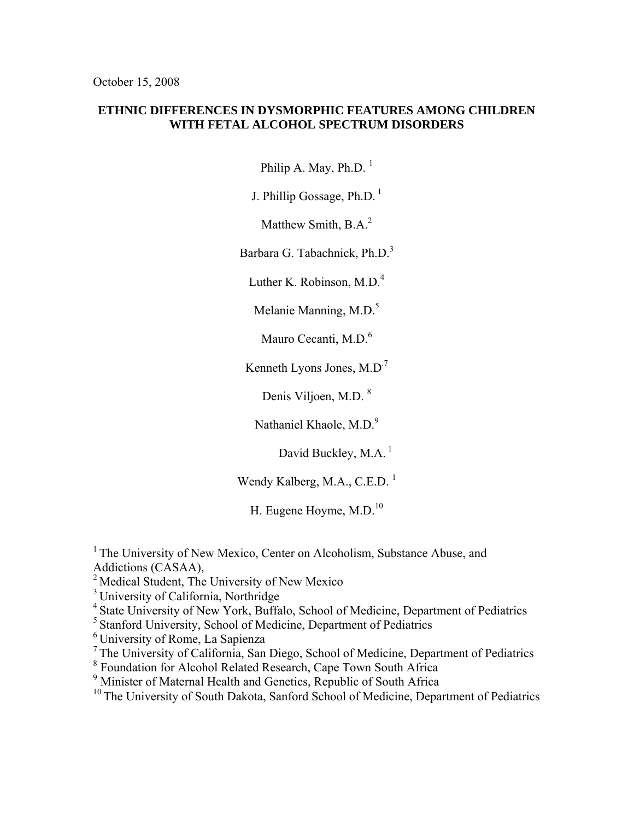## **ETHNIC DIFFERENCES IN DYSMORPHIC FEATURES AMONG CHILDREN WITH FETAL ALCOHOL SPECTRUM DISORDERS**

Philip A. May, Ph.D.  $<sup>1</sup>$ </sup>

J. Phillip Gossage,  $Ph.D.$ <sup>1</sup>

Matthew Smith, B.A.<sup>2</sup>

Barbara G. Tabachnick, Ph.D.<sup>3</sup>

Luther K. Robinson, M.D. $<sup>4</sup>$ </sup>

Melanie Manning, M.D.<sup>5</sup>

Mauro Cecanti, M.D.<sup>6</sup>

Kenneth Lyons Jones, M.D.7

Denis Viljoen, M.D.  $8$ 

Nathaniel Khaole, M.D.<sup>9</sup>

David Buckley, M.A.<sup>1</sup>

Wendy Kalberg, M.A., C.E.D.<sup>1</sup>

H. Eugene Hoyme, M.D.<sup>10</sup>

<sup>1</sup> The University of New Mexico, Center on Alcoholism, Substance Abuse, and Addictions (CASAA),

<sup>2</sup> Medical Student, The University of New Mexico

<sup>3</sup> University of California, Northridge

<sup>4</sup> State University of New York, Buffalo, School of Medicine, Department of Pediatrics

5 Stanford University, School of Medicine, Department of Pediatrics

6 University of Rome, La Sapienza

7 The University of California, San Diego, School of Medicine, Department of Pediatrics

<sup>8</sup> Foundation for Alcohol Related Research, Cape Town South Africa

<sup>9</sup> Minister of Maternal Health and Genetics, Republic of South Africa

<sup>10</sup> The University of South Dakota, Sanford School of Medicine, Department of Pediatrics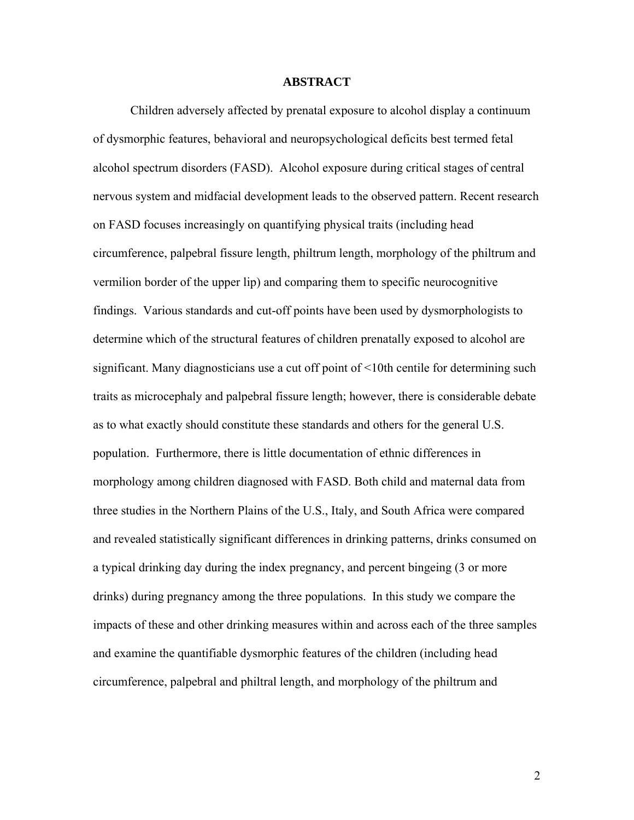## **ABSTRACT**

Children adversely affected by prenatal exposure to alcohol display a continuum of dysmorphic features, behavioral and neuropsychological deficits best termed fetal alcohol spectrum disorders (FASD). Alcohol exposure during critical stages of central nervous system and midfacial development leads to the observed pattern. Recent research on FASD focuses increasingly on quantifying physical traits (including head circumference, palpebral fissure length, philtrum length, morphology of the philtrum and vermilion border of the upper lip) and comparing them to specific neurocognitive findings. Various standards and cut-off points have been used by dysmorphologists to determine which of the structural features of children prenatally exposed to alcohol are significant. Many diagnosticians use a cut off point of  $\leq 10$ th centile for determining such traits as microcephaly and palpebral fissure length; however, there is considerable debate as to what exactly should constitute these standards and others for the general U.S. population. Furthermore, there is little documentation of ethnic differences in morphology among children diagnosed with FASD. Both child and maternal data from three studies in the Northern Plains of the U.S., Italy, and South Africa were compared and revealed statistically significant differences in drinking patterns, drinks consumed on a typical drinking day during the index pregnancy, and percent bingeing (3 or more drinks) during pregnancy among the three populations. In this study we compare the impacts of these and other drinking measures within and across each of the three samples and examine the quantifiable dysmorphic features of the children (including head circumference, palpebral and philtral length, and morphology of the philtrum and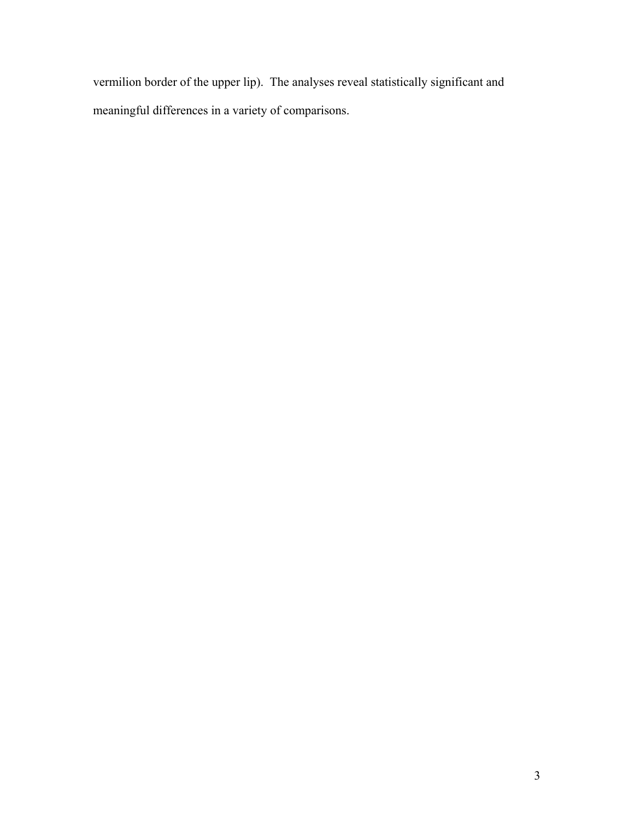vermilion border of the upper lip). The analyses reveal statistically significant and meaningful differences in a variety of comparisons.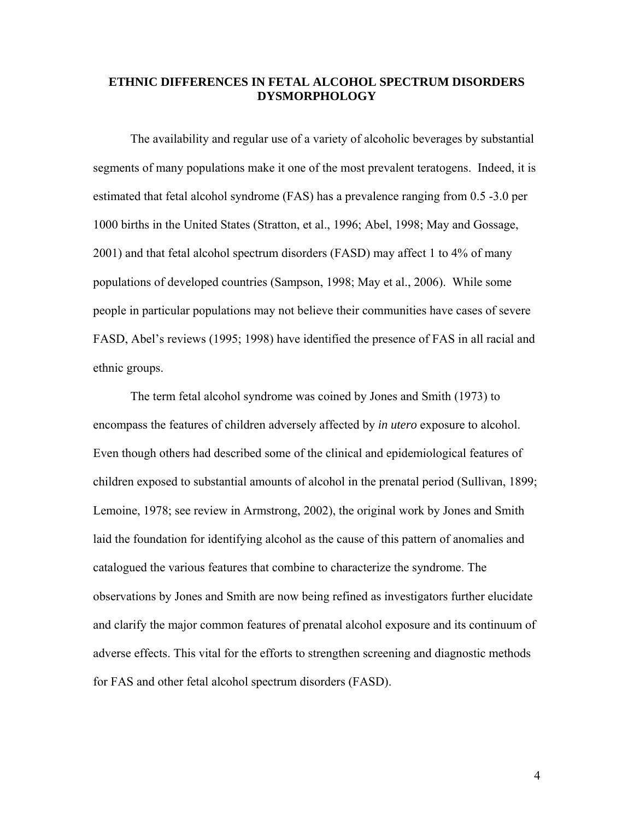## **ETHNIC DIFFERENCES IN FETAL ALCOHOL SPECTRUM DISORDERS DYSMORPHOLOGY**

 The availability and regular use of a variety of alcoholic beverages by substantial segments of many populations make it one of the most prevalent teratogens. Indeed, it is estimated that fetal alcohol syndrome (FAS) has a prevalence ranging from 0.5 -3.0 per 1000 births in the United States (Stratton, et al., 1996; Abel, 1998; May and Gossage, 2001) and that fetal alcohol spectrum disorders (FASD) may affect 1 to 4% of many populations of developed countries (Sampson, 1998; May et al., 2006). While some people in particular populations may not believe their communities have cases of severe FASD, Abel's reviews (1995; 1998) have identified the presence of FAS in all racial and ethnic groups.

The term fetal alcohol syndrome was coined by Jones and Smith (1973) to encompass the features of children adversely affected by *in utero* exposure to alcohol. Even though others had described some of the clinical and epidemiological features of children exposed to substantial amounts of alcohol in the prenatal period (Sullivan, 1899; Lemoine, 1978; see review in Armstrong, 2002), the original work by Jones and Smith laid the foundation for identifying alcohol as the cause of this pattern of anomalies and catalogued the various features that combine to characterize the syndrome. The observations by Jones and Smith are now being refined as investigators further elucidate and clarify the major common features of prenatal alcohol exposure and its continuum of adverse effects. This vital for the efforts to strengthen screening and diagnostic methods for FAS and other fetal alcohol spectrum disorders (FASD).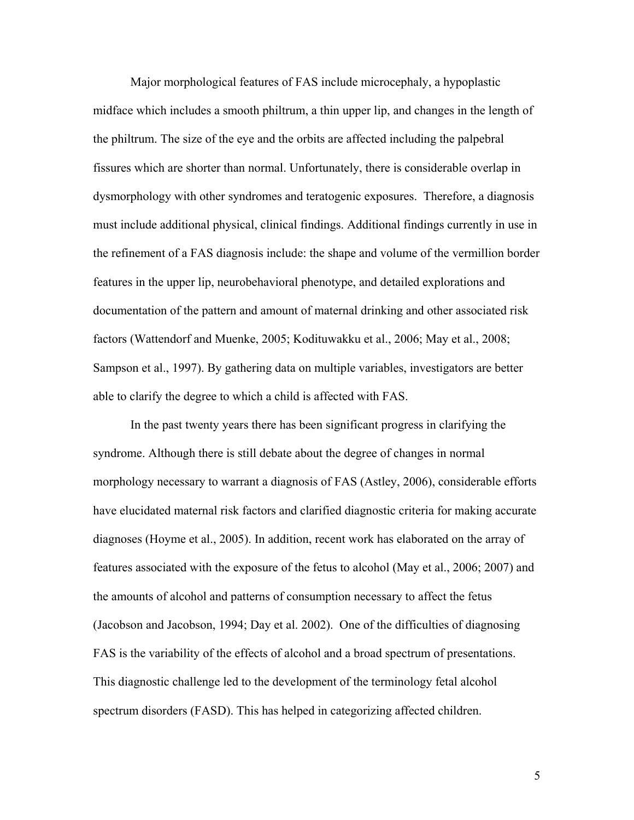Major morphological features of FAS include microcephaly, a hypoplastic midface which includes a smooth philtrum, a thin upper lip, and changes in the length of the philtrum. The size of the eye and the orbits are affected including the palpebral fissures which are shorter than normal. Unfortunately, there is considerable overlap in dysmorphology with other syndromes and teratogenic exposures. Therefore, a diagnosis must include additional physical, clinical findings. Additional findings currently in use in the refinement of a FAS diagnosis include: the shape and volume of the vermillion border features in the upper lip, neurobehavioral phenotype, and detailed explorations and documentation of the pattern and amount of maternal drinking and other associated risk factors (Wattendorf and Muenke, 2005; Kodituwakku et al., 2006; May et al., 2008; Sampson et al., 1997). By gathering data on multiple variables, investigators are better able to clarify the degree to which a child is affected with FAS.

 In the past twenty years there has been significant progress in clarifying the syndrome. Although there is still debate about the degree of changes in normal morphology necessary to warrant a diagnosis of FAS (Astley, 2006), considerable efforts have elucidated maternal risk factors and clarified diagnostic criteria for making accurate diagnoses (Hoyme et al., 2005). In addition, recent work has elaborated on the array of features associated with the exposure of the fetus to alcohol (May et al., 2006; 2007) and the amounts of alcohol and patterns of consumption necessary to affect the fetus (Jacobson and Jacobson, 1994; Day et al. 2002). One of the difficulties of diagnosing FAS is the variability of the effects of alcohol and a broad spectrum of presentations. This diagnostic challenge led to the development of the terminology fetal alcohol spectrum disorders (FASD). This has helped in categorizing affected children.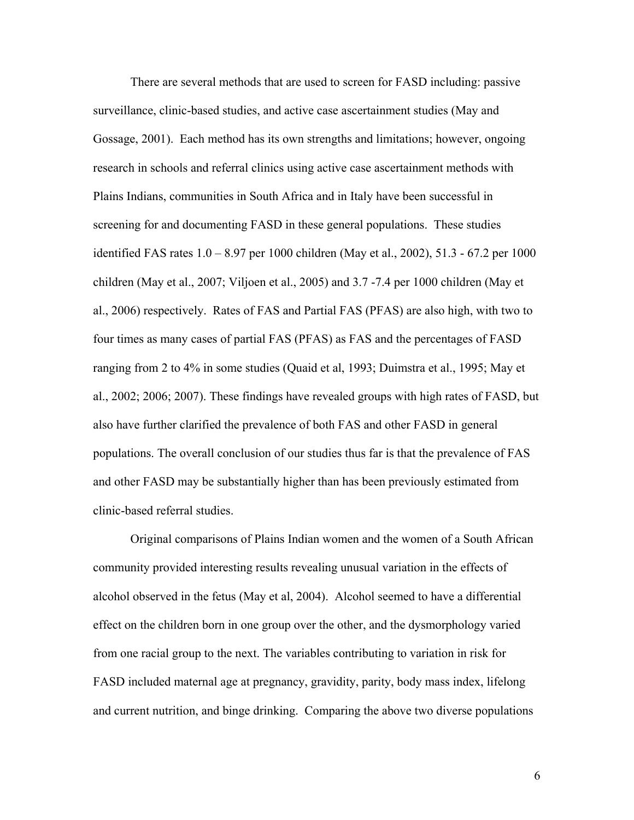There are several methods that are used to screen for FASD including: passive surveillance, clinic-based studies, and active case ascertainment studies (May and Gossage, 2001). Each method has its own strengths and limitations; however, ongoing research in schools and referral clinics using active case ascertainment methods with Plains Indians, communities in South Africa and in Italy have been successful in screening for and documenting FASD in these general populations. These studies identified FAS rates 1.0 – 8.97 per 1000 children (May et al., 2002), 51.3 - 67.2 per 1000 children (May et al., 2007; Viljoen et al., 2005) and 3.7 -7.4 per 1000 children (May et al., 2006) respectively. Rates of FAS and Partial FAS (PFAS) are also high, with two to four times as many cases of partial FAS (PFAS) as FAS and the percentages of FASD ranging from 2 to 4% in some studies (Quaid et al, 1993; Duimstra et al., 1995; May et al., 2002; 2006; 2007). These findings have revealed groups with high rates of FASD, but also have further clarified the prevalence of both FAS and other FASD in general populations. The overall conclusion of our studies thus far is that the prevalence of FAS and other FASD may be substantially higher than has been previously estimated from clinic-based referral studies.

 Original comparisons of Plains Indian women and the women of a South African community provided interesting results revealing unusual variation in the effects of alcohol observed in the fetus (May et al, 2004). Alcohol seemed to have a differential effect on the children born in one group over the other, and the dysmorphology varied from one racial group to the next. The variables contributing to variation in risk for FASD included maternal age at pregnancy, gravidity, parity, body mass index, lifelong and current nutrition, and binge drinking. Comparing the above two diverse populations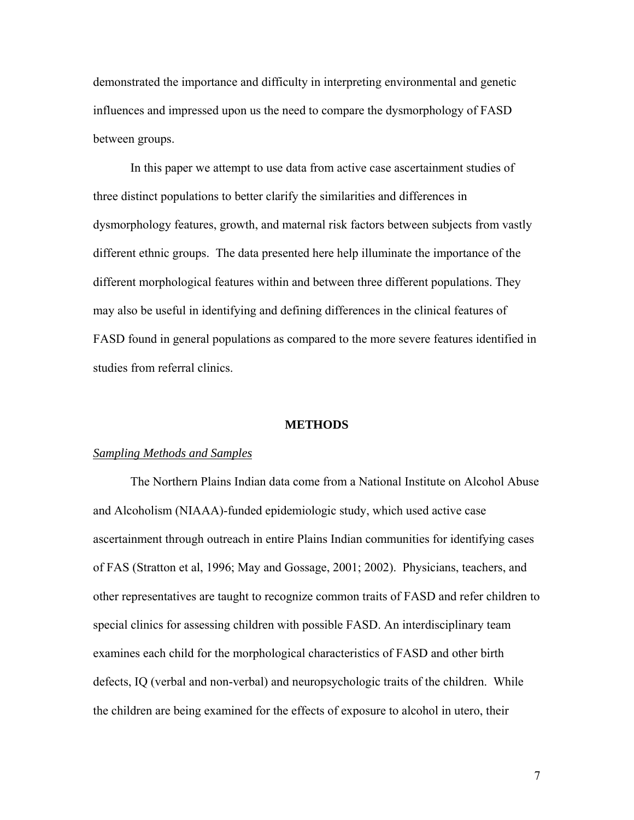demonstrated the importance and difficulty in interpreting environmental and genetic influences and impressed upon us the need to compare the dysmorphology of FASD between groups.

 In this paper we attempt to use data from active case ascertainment studies of three distinct populations to better clarify the similarities and differences in dysmorphology features, growth, and maternal risk factors between subjects from vastly different ethnic groups. The data presented here help illuminate the importance of the different morphological features within and between three different populations. They may also be useful in identifying and defining differences in the clinical features of FASD found in general populations as compared to the more severe features identified in studies from referral clinics.

#### **METHODS**

#### *Sampling Methods and Samples*

 The Northern Plains Indian data come from a National Institute on Alcohol Abuse and Alcoholism (NIAAA)-funded epidemiologic study, which used active case ascertainment through outreach in entire Plains Indian communities for identifying cases of FAS (Stratton et al, 1996; May and Gossage, 2001; 2002). Physicians, teachers, and other representatives are taught to recognize common traits of FASD and refer children to special clinics for assessing children with possible FASD. An interdisciplinary team examines each child for the morphological characteristics of FASD and other birth defects, IQ (verbal and non-verbal) and neuropsychologic traits of the children. While the children are being examined for the effects of exposure to alcohol in utero, their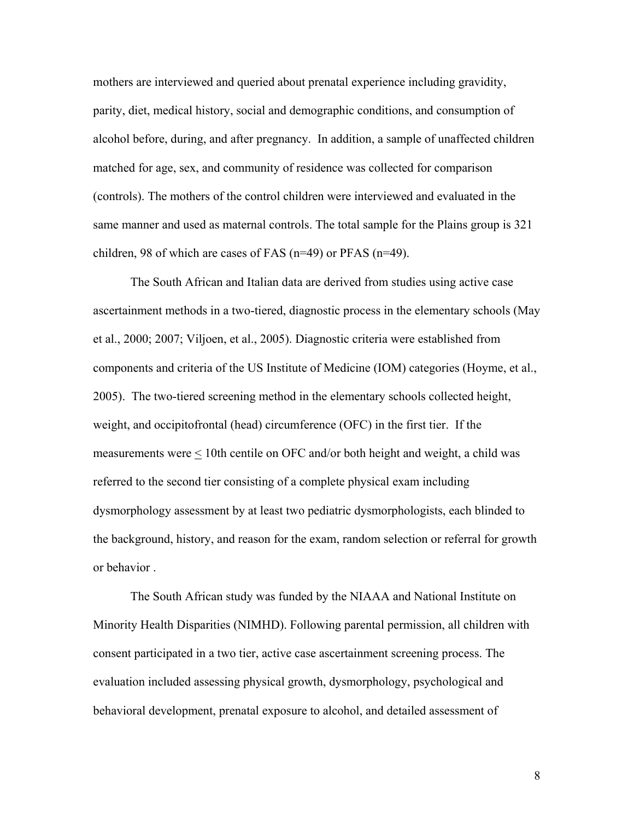mothers are interviewed and queried about prenatal experience including gravidity, parity, diet, medical history, social and demographic conditions, and consumption of alcohol before, during, and after pregnancy. In addition, a sample of unaffected children matched for age, sex, and community of residence was collected for comparison (controls). The mothers of the control children were interviewed and evaluated in the same manner and used as maternal controls. The total sample for the Plains group is 321 children, 98 of which are cases of FAS (n=49) or PFAS (n=49).

 The South African and Italian data are derived from studies using active case ascertainment methods in a two-tiered, diagnostic process in the elementary schools (May et al., 2000; 2007; Viljoen, et al., 2005). Diagnostic criteria were established from components and criteria of the US Institute of Medicine (IOM) categories (Hoyme, et al., 2005). The two-tiered screening method in the elementary schools collected height, weight, and occipitofrontal (head) circumference (OFC) in the first tier. If the measurements were  $\leq 10$ th centile on OFC and/or both height and weight, a child was referred to the second tier consisting of a complete physical exam including dysmorphology assessment by at least two pediatric dysmorphologists, each blinded to the background, history, and reason for the exam, random selection or referral for growth or behavior .

The South African study was funded by the NIAAA and National Institute on Minority Health Disparities (NIMHD). Following parental permission, all children with consent participated in a two tier, active case ascertainment screening process. The evaluation included assessing physical growth, dysmorphology, psychological and behavioral development, prenatal exposure to alcohol, and detailed assessment of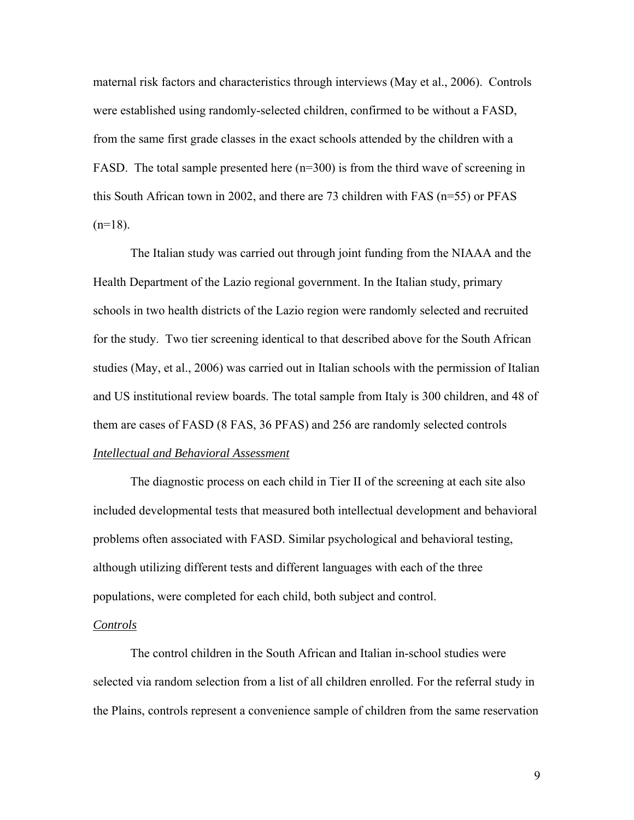maternal risk factors and characteristics through interviews (May et al., 2006). Controls were established using randomly-selected children, confirmed to be without a FASD, from the same first grade classes in the exact schools attended by the children with a FASD. The total sample presented here (n=300) is from the third wave of screening in this South African town in 2002, and there are 73 children with FAS (n=55) or PFAS  $(n=18)$ .

The Italian study was carried out through joint funding from the NIAAA and the Health Department of the Lazio regional government. In the Italian study, primary schools in two health districts of the Lazio region were randomly selected and recruited for the study. Two tier screening identical to that described above for the South African studies (May, et al., 2006) was carried out in Italian schools with the permission of Italian and US institutional review boards. The total sample from Italy is 300 children, and 48 of them are cases of FASD (8 FAS, 36 PFAS) and 256 are randomly selected controls *Intellectual and Behavioral Assessment*

The diagnostic process on each child in Tier II of the screening at each site also included developmental tests that measured both intellectual development and behavioral problems often associated with FASD. Similar psychological and behavioral testing, although utilizing different tests and different languages with each of the three populations, were completed for each child, both subject and control.

#### *Controls*

 The control children in the South African and Italian in-school studies were selected via random selection from a list of all children enrolled. For the referral study in the Plains, controls represent a convenience sample of children from the same reservation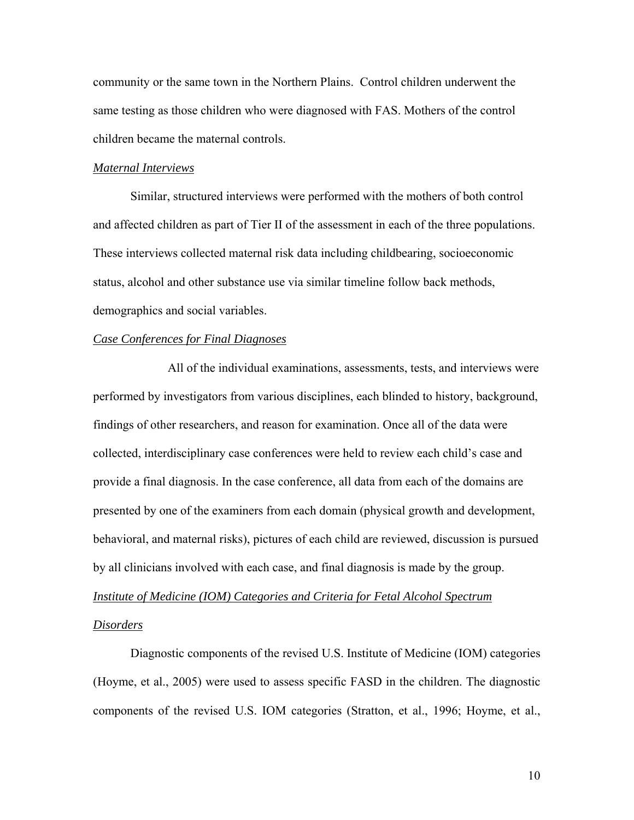community or the same town in the Northern Plains. Control children underwent the same testing as those children who were diagnosed with FAS. Mothers of the control children became the maternal controls.

#### *Maternal Interviews*

 Similar, structured interviews were performed with the mothers of both control and affected children as part of Tier II of the assessment in each of the three populations. These interviews collected maternal risk data including childbearing, socioeconomic status, alcohol and other substance use via similar timeline follow back methods, demographics and social variables.

## *Case Conferences for Final Diagnoses*

 All of the individual examinations, assessments, tests, and interviews were performed by investigators from various disciplines, each blinded to history, background, findings of other researchers, and reason for examination. Once all of the data were collected, interdisciplinary case conferences were held to review each child's case and provide a final diagnosis. In the case conference, all data from each of the domains are presented by one of the examiners from each domain (physical growth and development, behavioral, and maternal risks), pictures of each child are reviewed, discussion is pursued by all clinicians involved with each case, and final diagnosis is made by the group. *Institute of Medicine (IOM) Categories and Criteria for Fetal Alcohol Spectrum* 

#### *Disorders*

 Diagnostic components of the revised U.S. Institute of Medicine (IOM) categories (Hoyme, et al., 2005) were used to assess specific FASD in the children. The diagnostic components of the revised U.S. IOM categories (Stratton, et al., 1996; Hoyme, et al.,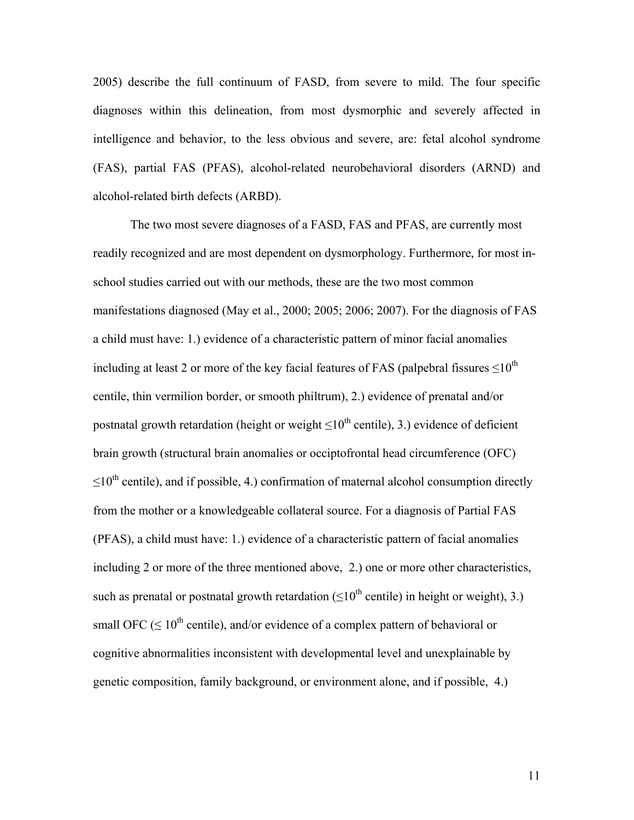2005) describe the full continuum of FASD, from severe to mild. The four specific diagnoses within this delineation, from most dysmorphic and severely affected in intelligence and behavior, to the less obvious and severe, are: fetal alcohol syndrome (FAS), partial FAS (PFAS), alcohol-related neurobehavioral disorders (ARND) and alcohol-related birth defects (ARBD).

 The two most severe diagnoses of a FASD, FAS and PFAS, are currently most readily recognized and are most dependent on dysmorphology. Furthermore, for most inschool studies carried out with our methods, these are the two most common manifestations diagnosed (May et al., 2000; 2005; 2006; 2007). For the diagnosis of FAS a child must have: 1.) evidence of a characteristic pattern of minor facial anomalies including at least 2 or more of the key facial features of FAS (palpebral fissures  $\leq$ 10<sup>th</sup> centile, thin vermilion border, or smooth philtrum), 2.) evidence of prenatal and/or postnatal growth retardation (height or weight  $\leq 10^{th}$  centile), 3.) evidence of deficient brain growth (structural brain anomalies or occiptofrontal head circumference (OFC)  $\leq 10^{th}$  centile), and if possible, 4.) confirmation of maternal alcohol consumption directly from the mother or a knowledgeable collateral source. For a diagnosis of Partial FAS (PFAS), a child must have: 1.) evidence of a characteristic pattern of facial anomalies including 2 or more of the three mentioned above, 2.) one or more other characteristics, such as prenatal or postnatal growth retardation  $(\leq 10^{th}$  centile) in height or weight), 3.) small OFC ( $\leq 10^{th}$  centile), and/or evidence of a complex pattern of behavioral or cognitive abnormalities inconsistent with developmental level and unexplainable by genetic composition, family background, or environment alone, and if possible, 4.)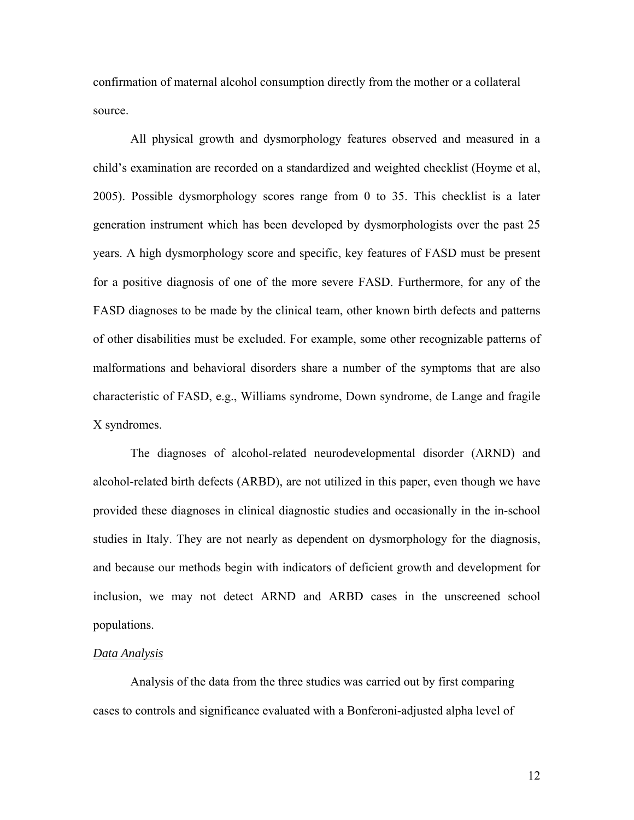confirmation of maternal alcohol consumption directly from the mother or a collateral source.

 All physical growth and dysmorphology features observed and measured in a child's examination are recorded on a standardized and weighted checklist (Hoyme et al, 2005). Possible dysmorphology scores range from 0 to 35. This checklist is a later generation instrument which has been developed by dysmorphologists over the past 25 years. A high dysmorphology score and specific, key features of FASD must be present for a positive diagnosis of one of the more severe FASD. Furthermore, for any of the FASD diagnoses to be made by the clinical team, other known birth defects and patterns of other disabilities must be excluded. For example, some other recognizable patterns of malformations and behavioral disorders share a number of the symptoms that are also characteristic of FASD, e.g., Williams syndrome, Down syndrome, de Lange and fragile X syndromes.

 The diagnoses of alcohol-related neurodevelopmental disorder (ARND) and alcohol-related birth defects (ARBD), are not utilized in this paper, even though we have provided these diagnoses in clinical diagnostic studies and occasionally in the in-school studies in Italy. They are not nearly as dependent on dysmorphology for the diagnosis, and because our methods begin with indicators of deficient growth and development for inclusion, we may not detect ARND and ARBD cases in the unscreened school populations.

#### *Data Analysis*

Analysis of the data from the three studies was carried out by first comparing cases to controls and significance evaluated with a Bonferoni-adjusted alpha level of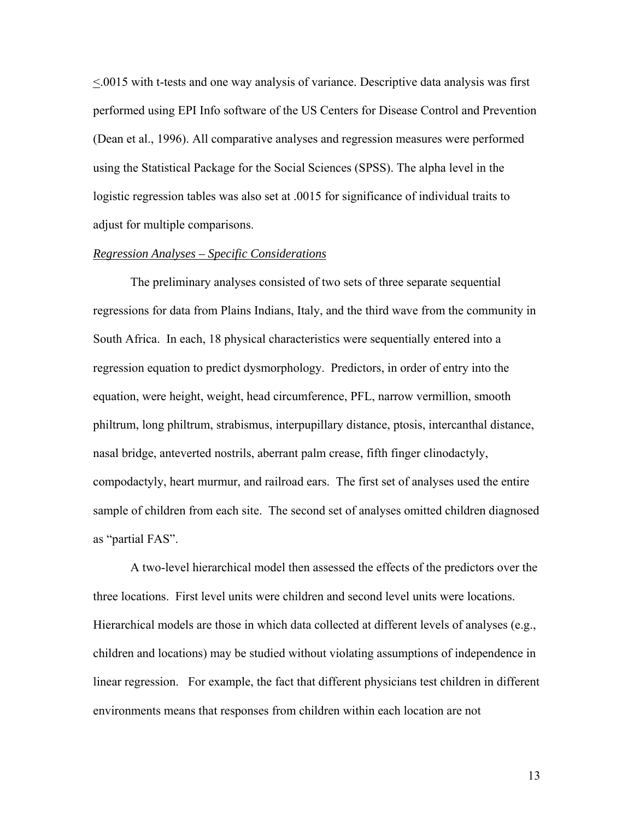<.0015 with t-tests and one way analysis of variance. Descriptive data analysis was first performed using EPI Info software of the US Centers for Disease Control and Prevention (Dean et al., 1996). All comparative analyses and regression measures were performed using the Statistical Package for the Social Sciences (SPSS). The alpha level in the logistic regression tables was also set at .0015 for significance of individual traits to adjust for multiple comparisons.

## *Regression Analyses – Specific Considerations*

 The preliminary analyses consisted of two sets of three separate sequential regressions for data from Plains Indians, Italy, and the third wave from the community in South Africa. In each, 18 physical characteristics were sequentially entered into a regression equation to predict dysmorphology. Predictors, in order of entry into the equation, were height, weight, head circumference, PFL, narrow vermillion, smooth philtrum, long philtrum, strabismus, interpupillary distance, ptosis, intercanthal distance, nasal bridge, anteverted nostrils, aberrant palm crease, fifth finger clinodactyly, compodactyly, heart murmur, and railroad ears. The first set of analyses used the entire sample of children from each site. The second set of analyses omitted children diagnosed as "partial FAS".

 A two-level hierarchical model then assessed the effects of the predictors over the three locations. First level units were children and second level units were locations. Hierarchical models are those in which data collected at different levels of analyses (e.g., children and locations) may be studied without violating assumptions of independence in linear regression. For example, the fact that different physicians test children in different environments means that responses from children within each location are not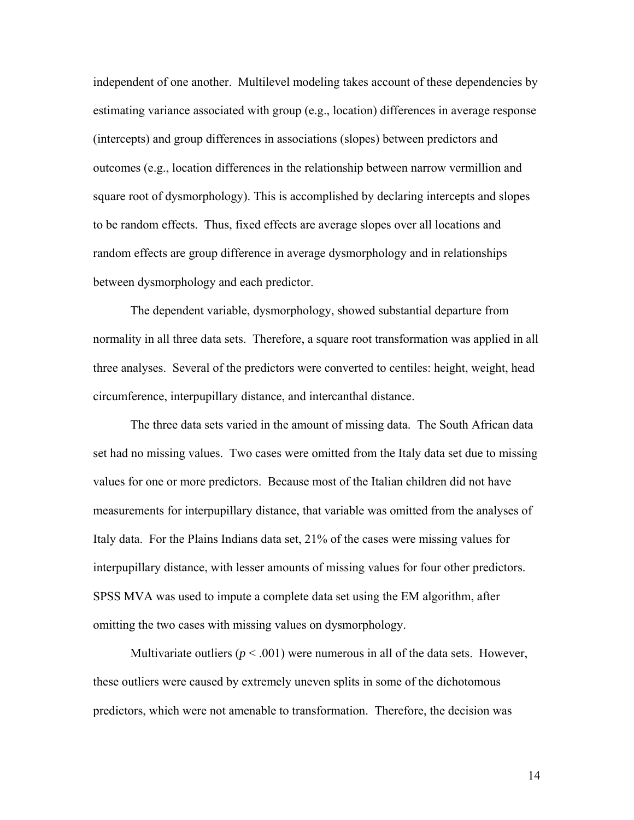independent of one another. Multilevel modeling takes account of these dependencies by estimating variance associated with group (e.g., location) differences in average response (intercepts) and group differences in associations (slopes) between predictors and outcomes (e.g., location differences in the relationship between narrow vermillion and square root of dysmorphology). This is accomplished by declaring intercepts and slopes to be random effects. Thus, fixed effects are average slopes over all locations and random effects are group difference in average dysmorphology and in relationships between dysmorphology and each predictor.

 The dependent variable, dysmorphology, showed substantial departure from normality in all three data sets. Therefore, a square root transformation was applied in all three analyses. Several of the predictors were converted to centiles: height, weight, head circumference, interpupillary distance, and intercanthal distance.

The three data sets varied in the amount of missing data. The South African data set had no missing values. Two cases were omitted from the Italy data set due to missing values for one or more predictors. Because most of the Italian children did not have measurements for interpupillary distance, that variable was omitted from the analyses of Italy data. For the Plains Indians data set, 21% of the cases were missing values for interpupillary distance, with lesser amounts of missing values for four other predictors. SPSS MVA was used to impute a complete data set using the EM algorithm, after omitting the two cases with missing values on dysmorphology.

Multivariate outliers ( $p < .001$ ) were numerous in all of the data sets. However, these outliers were caused by extremely uneven splits in some of the dichotomous predictors, which were not amenable to transformation. Therefore, the decision was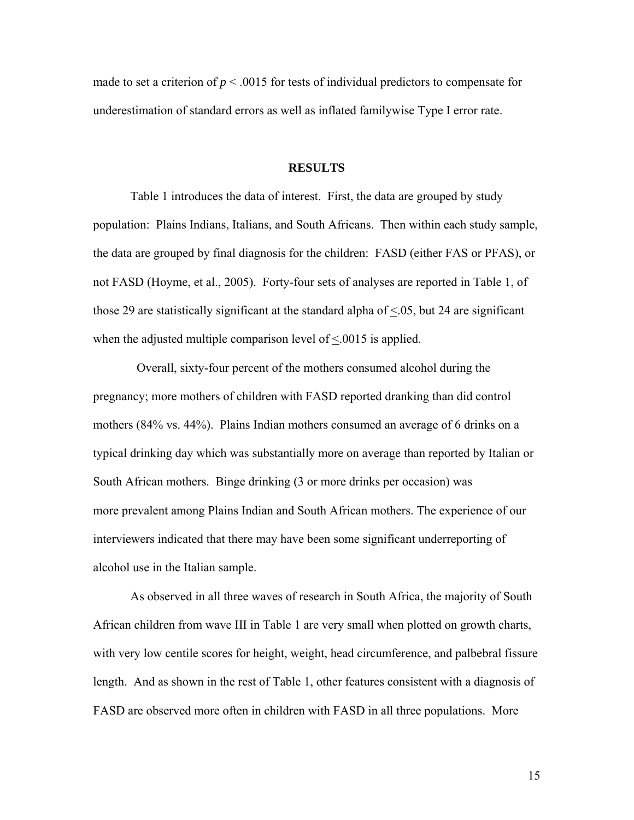made to set a criterion of  $p < .0015$  for tests of individual predictors to compensate for underestimation of standard errors as well as inflated familywise Type I error rate.

#### **RESULTS**

Table 1 introduces the data of interest. First, the data are grouped by study population: Plains Indians, Italians, and South Africans. Then within each study sample, the data are grouped by final diagnosis for the children: FASD (either FAS or PFAS), or not FASD (Hoyme, et al., 2005). Forty-four sets of analyses are reported in Table 1, of those 29 are statistically significant at the standard alpha of <.05, but 24 are significant when the adjusted multiple comparison level of  $\leq 0.0015$  is applied.

 Overall, sixty-four percent of the mothers consumed alcohol during the pregnancy; more mothers of children with FASD reported dranking than did control mothers (84% vs. 44%). Plains Indian mothers consumed an average of 6 drinks on a typical drinking day which was substantially more on average than reported by Italian or South African mothers. Binge drinking (3 or more drinks per occasion) was more prevalent among Plains Indian and South African mothers. The experience of our interviewers indicated that there may have been some significant underreporting of alcohol use in the Italian sample.

As observed in all three waves of research in South Africa, the majority of South African children from wave III in Table 1 are very small when plotted on growth charts, with very low centile scores for height, weight, head circumference, and palbebral fissure length. And as shown in the rest of Table 1, other features consistent with a diagnosis of FASD are observed more often in children with FASD in all three populations. More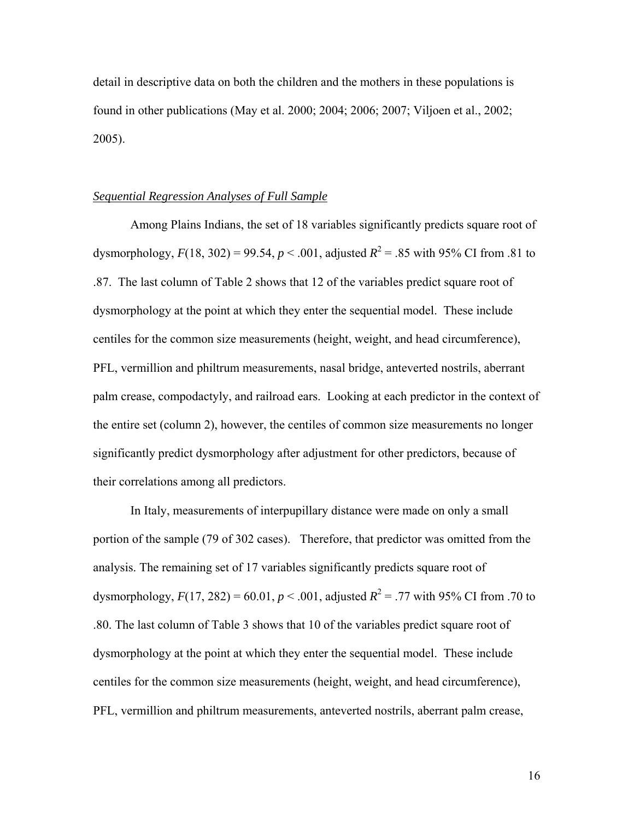detail in descriptive data on both the children and the mothers in these populations is found in other publications (May et al. 2000; 2004; 2006; 2007; Viljoen et al., 2002; 2005).

## *Sequential Regression Analyses of Full Sample*

 Among Plains Indians, the set of 18 variables significantly predicts square root of dysmorphology,  $F(18, 302) = 99.54$ ,  $p < .001$ , adjusted  $R^2 = .85$  with 95% CI from .81 to .87. The last column of Table 2 shows that 12 of the variables predict square root of dysmorphology at the point at which they enter the sequential model. These include centiles for the common size measurements (height, weight, and head circumference), PFL, vermillion and philtrum measurements, nasal bridge, anteverted nostrils, aberrant palm crease, compodactyly, and railroad ears. Looking at each predictor in the context of the entire set (column 2), however, the centiles of common size measurements no longer significantly predict dysmorphology after adjustment for other predictors, because of their correlations among all predictors.

 In Italy, measurements of interpupillary distance were made on only a small portion of the sample (79 of 302 cases). Therefore, that predictor was omitted from the analysis. The remaining set of 17 variables significantly predicts square root of dysmorphology,  $F(17, 282) = 60.01$ ,  $p < .001$ , adjusted  $R^2 = .77$  with 95% CI from .70 to .80. The last column of Table 3 shows that 10 of the variables predict square root of dysmorphology at the point at which they enter the sequential model. These include centiles for the common size measurements (height, weight, and head circumference), PFL, vermillion and philtrum measurements, anteverted nostrils, aberrant palm crease,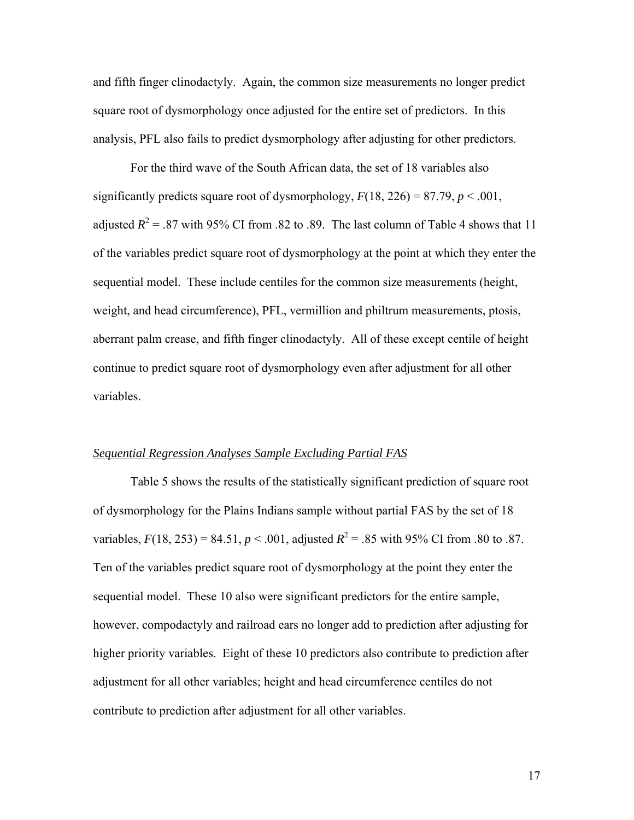and fifth finger clinodactyly. Again, the common size measurements no longer predict square root of dysmorphology once adjusted for the entire set of predictors. In this analysis, PFL also fails to predict dysmorphology after adjusting for other predictors.

For the third wave of the South African data, the set of 18 variables also significantly predicts square root of dysmorphology,  $F(18, 226) = 87.79$ ,  $p < .001$ , adjusted  $R^2$  = .87 with 95% CI from .82 to .89. The last column of Table 4 shows that 11 of the variables predict square root of dysmorphology at the point at which they enter the sequential model. These include centiles for the common size measurements (height, weight, and head circumference), PFL, vermillion and philtrum measurements, ptosis, aberrant palm crease, and fifth finger clinodactyly. All of these except centile of height continue to predict square root of dysmorphology even after adjustment for all other variables.

## *Sequential Regression Analyses Sample Excluding Partial FAS*

Table 5 shows the results of the statistically significant prediction of square root of dysmorphology for the Plains Indians sample without partial FAS by the set of 18 variables,  $F(18, 253) = 84.51$ ,  $p < .001$ , adjusted  $R^2 = .85$  with 95% CI from .80 to .87. Ten of the variables predict square root of dysmorphology at the point they enter the sequential model. These 10 also were significant predictors for the entire sample, however, compodactyly and railroad ears no longer add to prediction after adjusting for higher priority variables. Eight of these 10 predictors also contribute to prediction after adjustment for all other variables; height and head circumference centiles do not contribute to prediction after adjustment for all other variables.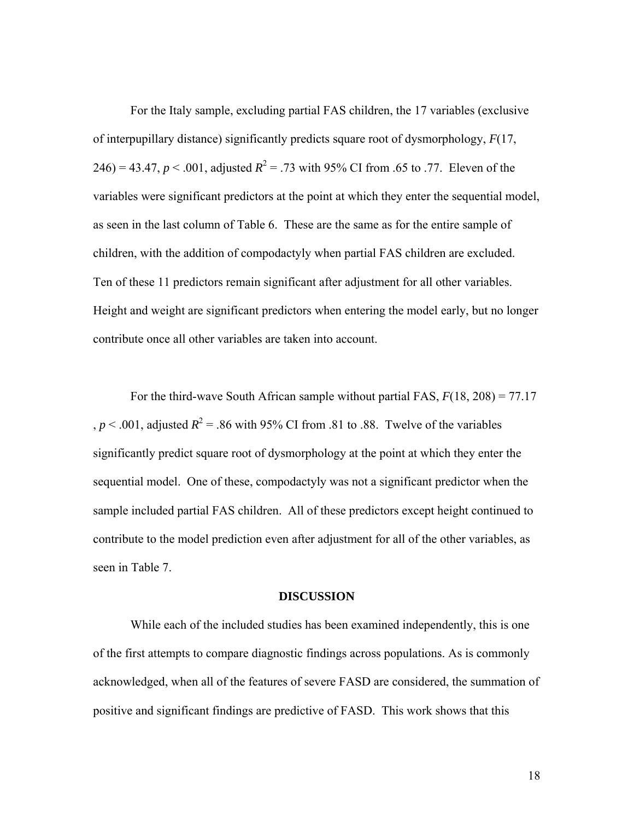For the Italy sample, excluding partial FAS children, the 17 variables (exclusive of interpupillary distance) significantly predicts square root of dysmorphology, *F*(17, 246) = 43.47,  $p < .001$ , adjusted  $R^2 = .73$  with 95% CI from .65 to .77. Eleven of the variables were significant predictors at the point at which they enter the sequential model, as seen in the last column of Table 6. These are the same as for the entire sample of children, with the addition of compodactyly when partial FAS children are excluded. Ten of these 11 predictors remain significant after adjustment for all other variables. Height and weight are significant predictors when entering the model early, but no longer contribute once all other variables are taken into account.

 For the third-wave South African sample without partial FAS, *F*(18, 208) = 77.17 ,  $p < .001$ , adjusted  $R^2 = .86$  with 95% CI from .81 to .88. Twelve of the variables significantly predict square root of dysmorphology at the point at which they enter the sequential model. One of these, compodactyly was not a significant predictor when the sample included partial FAS children. All of these predictors except height continued to contribute to the model prediction even after adjustment for all of the other variables, as seen in Table 7.

#### **DISCUSSION**

 While each of the included studies has been examined independently, this is one of the first attempts to compare diagnostic findings across populations. As is commonly acknowledged, when all of the features of severe FASD are considered, the summation of positive and significant findings are predictive of FASD. This work shows that this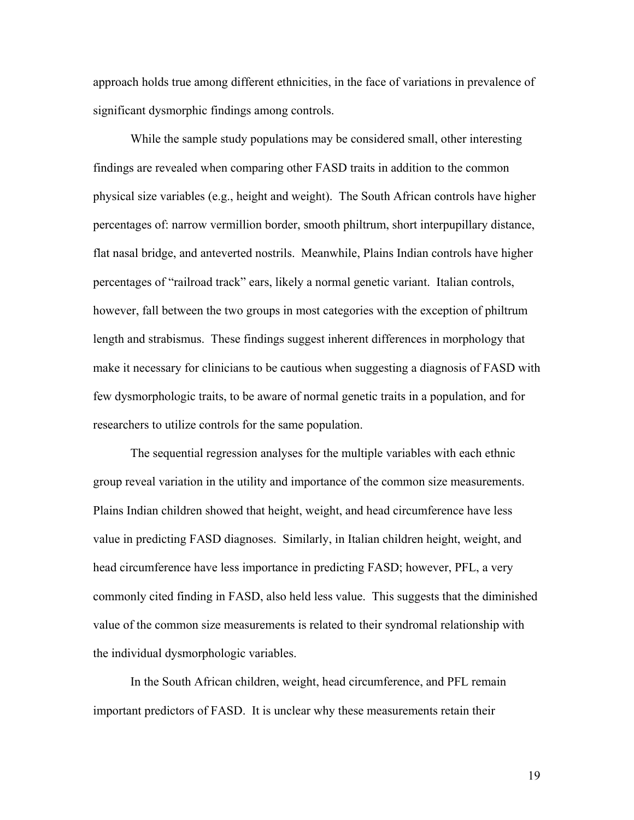approach holds true among different ethnicities, in the face of variations in prevalence of significant dysmorphic findings among controls.

 While the sample study populations may be considered small, other interesting findings are revealed when comparing other FASD traits in addition to the common physical size variables (e.g., height and weight). The South African controls have higher percentages of: narrow vermillion border, smooth philtrum, short interpupillary distance, flat nasal bridge, and anteverted nostrils. Meanwhile, Plains Indian controls have higher percentages of "railroad track" ears, likely a normal genetic variant. Italian controls, however, fall between the two groups in most categories with the exception of philtrum length and strabismus. These findings suggest inherent differences in morphology that make it necessary for clinicians to be cautious when suggesting a diagnosis of FASD with few dysmorphologic traits, to be aware of normal genetic traits in a population, and for researchers to utilize controls for the same population.

 The sequential regression analyses for the multiple variables with each ethnic group reveal variation in the utility and importance of the common size measurements. Plains Indian children showed that height, weight, and head circumference have less value in predicting FASD diagnoses. Similarly, in Italian children height, weight, and head circumference have less importance in predicting FASD; however, PFL, a very commonly cited finding in FASD, also held less value. This suggests that the diminished value of the common size measurements is related to their syndromal relationship with the individual dysmorphologic variables.

 In the South African children, weight, head circumference, and PFL remain important predictors of FASD. It is unclear why these measurements retain their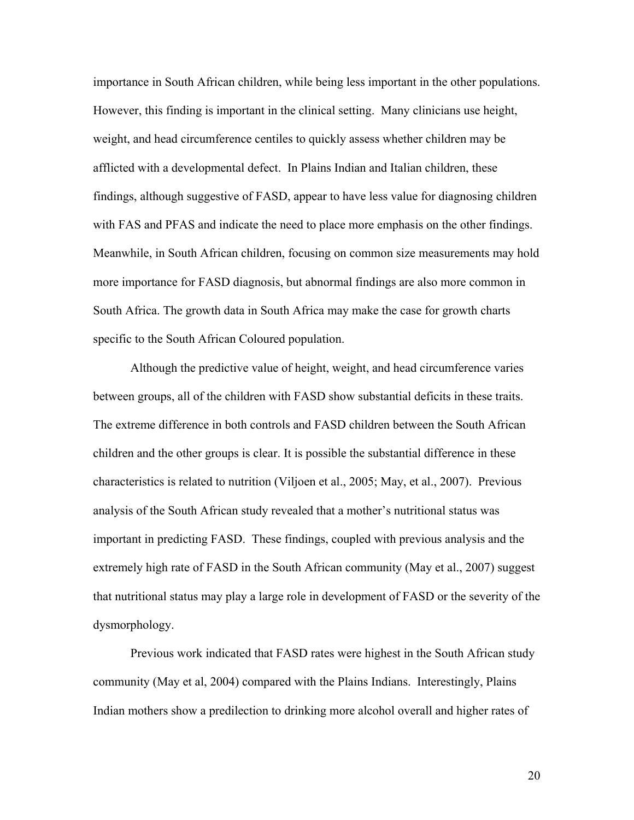importance in South African children, while being less important in the other populations. However, this finding is important in the clinical setting. Many clinicians use height, weight, and head circumference centiles to quickly assess whether children may be afflicted with a developmental defect. In Plains Indian and Italian children, these findings, although suggestive of FASD, appear to have less value for diagnosing children with FAS and PFAS and indicate the need to place more emphasis on the other findings. Meanwhile, in South African children, focusing on common size measurements may hold more importance for FASD diagnosis, but abnormal findings are also more common in South Africa. The growth data in South Africa may make the case for growth charts specific to the South African Coloured population.

 Although the predictive value of height, weight, and head circumference varies between groups, all of the children with FASD show substantial deficits in these traits. The extreme difference in both controls and FASD children between the South African children and the other groups is clear. It is possible the substantial difference in these characteristics is related to nutrition (Viljoen et al., 2005; May, et al., 2007). Previous analysis of the South African study revealed that a mother's nutritional status was important in predicting FASD. These findings, coupled with previous analysis and the extremely high rate of FASD in the South African community (May et al., 2007) suggest that nutritional status may play a large role in development of FASD or the severity of the dysmorphology.

 Previous work indicated that FASD rates were highest in the South African study community (May et al, 2004) compared with the Plains Indians. Interestingly, Plains Indian mothers show a predilection to drinking more alcohol overall and higher rates of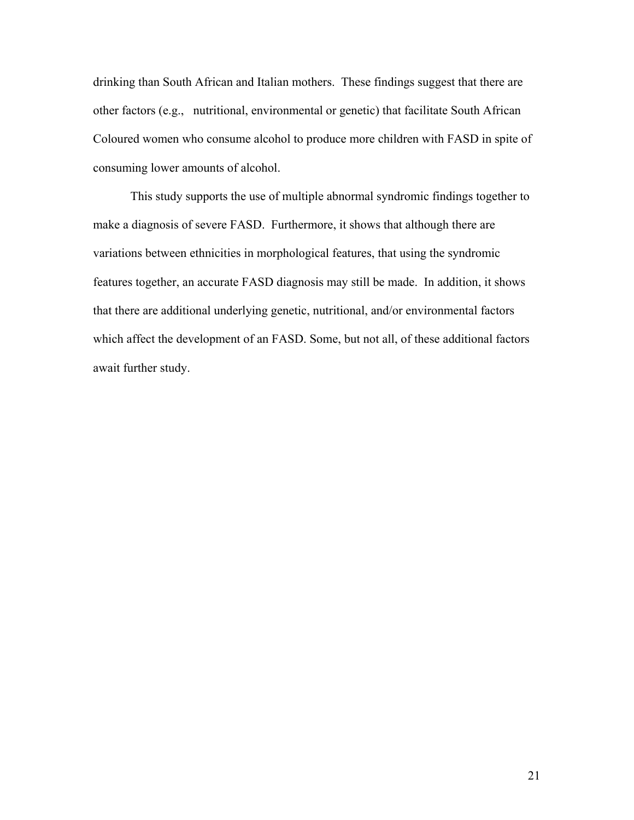drinking than South African and Italian mothers. These findings suggest that there are other factors (e.g., nutritional, environmental or genetic) that facilitate South African Coloured women who consume alcohol to produce more children with FASD in spite of consuming lower amounts of alcohol.

 This study supports the use of multiple abnormal syndromic findings together to make a diagnosis of severe FASD. Furthermore, it shows that although there are variations between ethnicities in morphological features, that using the syndromic features together, an accurate FASD diagnosis may still be made. In addition, it shows that there are additional underlying genetic, nutritional, and/or environmental factors which affect the development of an FASD. Some, but not all, of these additional factors await further study.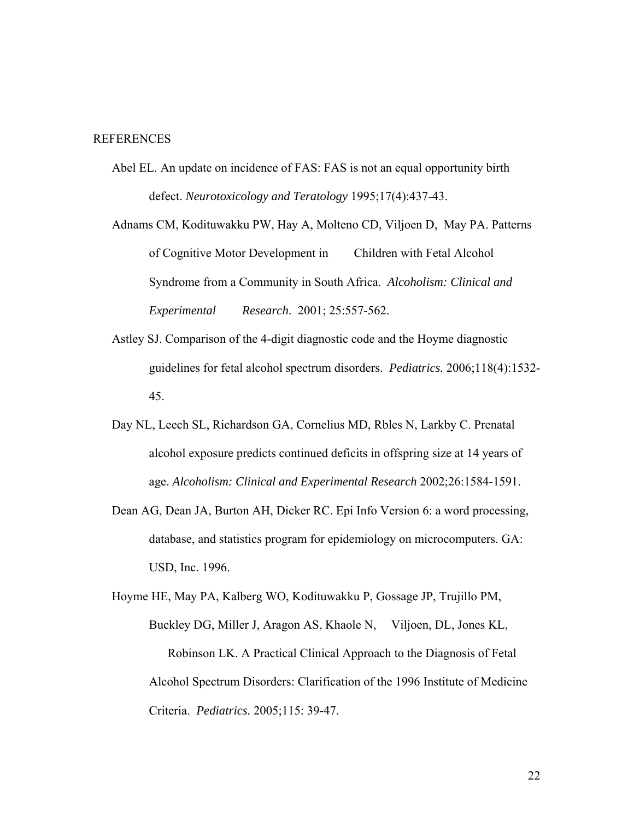## **REFERENCES**

Abel EL. An update on incidence of FAS: FAS is not an equal opportunity birth defect. *Neurotoxicology and Teratology* 1995;17(4):437-43.

Adnams CM, Kodituwakku PW, Hay A, Molteno CD, Viljoen D, May PA. Patterns of Cognitive Motor Development in Children with Fetal Alcohol Syndrome from a Community in South Africa. *Alcoholism: Clinical and Experimental Research*. 2001; 25:557-562.

- Astley SJ. Comparison of the 4-digit diagnostic code and the Hoyme diagnostic guidelines for fetal alcohol spectrum disorders. *Pediatrics.* 2006;118(4):1532- 45.
- Day NL, Leech SL, Richardson GA, Cornelius MD, Rbles N, Larkby C. Prenatal alcohol exposure predicts continued deficits in offspring size at 14 years of age. *Alcoholism: Clinical and Experimental Research* 2002;26:1584-1591.
- Dean AG, Dean JA, Burton AH, Dicker RC. Epi Info Version 6: a word processing, database, and statistics program for epidemiology on microcomputers. GA: USD, Inc. 1996.

Hoyme HE, May PA, Kalberg WO, Kodituwakku P, Gossage JP, Trujillo PM, Buckley DG, Miller J, Aragon AS, Khaole N, Viljoen, DL, Jones KL, Robinson LK. A Practical Clinical Approach to the Diagnosis of Fetal Alcohol Spectrum Disorders: Clarification of the 1996 Institute of Medicine Criteria. *Pediatrics.* 2005;115: 39-47.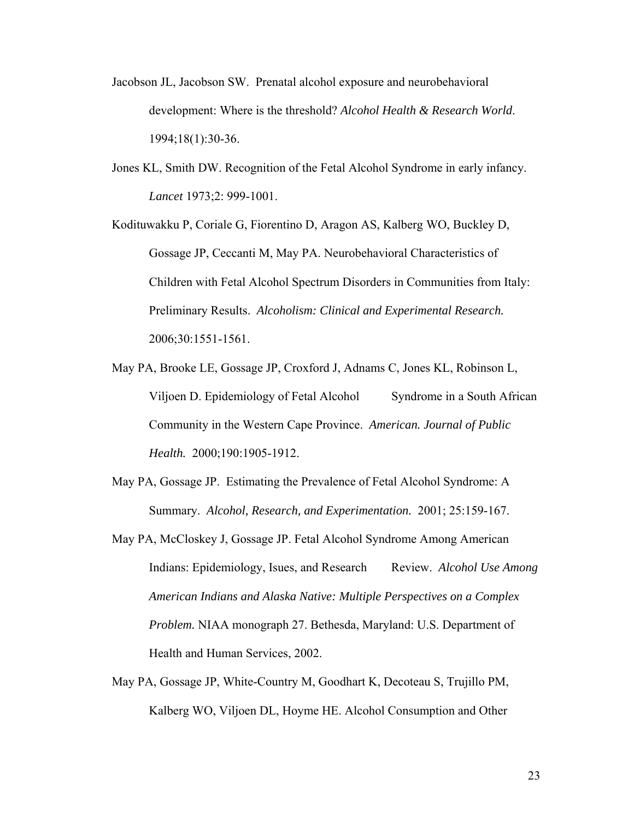- Jacobson JL, Jacobson SW. Prenatal alcohol exposure and neurobehavioral development: Where is the threshold? *Alcohol Health & Research World*. 1994;18(1):30-36.
- Jones KL, Smith DW. Recognition of the Fetal Alcohol Syndrome in early infancy. *Lancet* 1973;2: 999-1001.

Kodituwakku P, Coriale G, Fiorentino D, Aragon AS, Kalberg WO, Buckley D, Gossage JP, Ceccanti M, May PA. Neurobehavioral Characteristics of Children with Fetal Alcohol Spectrum Disorders in Communities from Italy: Preliminary Results. *Alcoholism: Clinical and Experimental Research.* 2006;30:1551-1561.

- May PA, Brooke LE, Gossage JP, Croxford J, Adnams C, Jones KL, Robinson L, Viljoen D. Epidemiology of Fetal Alcohol Syndrome in a South African Community in the Western Cape Province. *American. Journal of Public Health.* 2000;190:1905-1912.
- May PA, Gossage JP. Estimating the Prevalence of Fetal Alcohol Syndrome: A Summary. *Alcohol, Research, and Experimentation.* 2001; 25:159-167.
- May PA, McCloskey J, Gossage JP. Fetal Alcohol Syndrome Among American Indians: Epidemiology, Isues, and Research Review. *Alcohol Use Among American Indians and Alaska Native: Multiple Perspectives on a Complex Problem.* NIAA monograph 27. Bethesda, Maryland: U.S. Department of Health and Human Services, 2002.
- May PA, Gossage JP, White-Country M, Goodhart K, Decoteau S, Trujillo PM, Kalberg WO, Viljoen DL, Hoyme HE. Alcohol Consumption and Other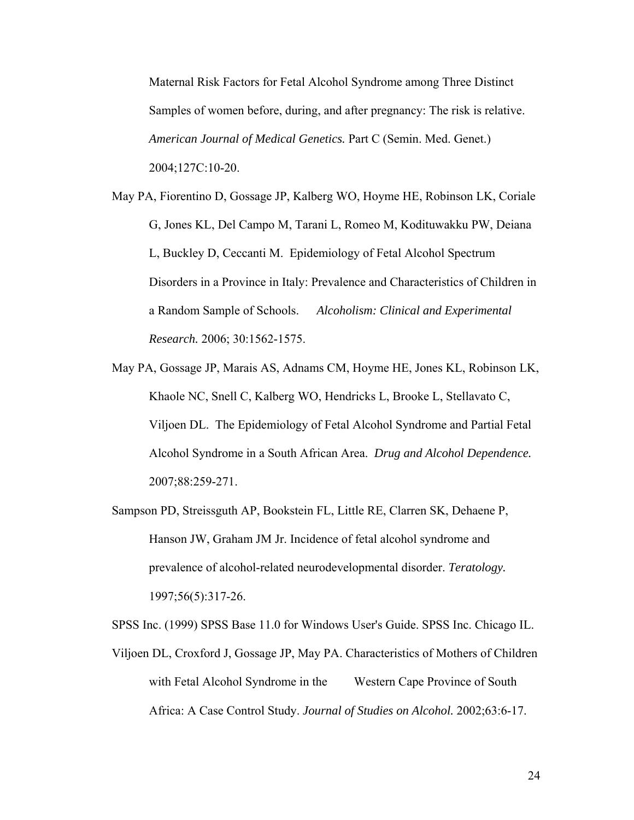Maternal Risk Factors for Fetal Alcohol Syndrome among Three Distinct Samples of women before, during, and after pregnancy: The risk is relative. *American Journal of Medical Genetics.* Part C (Semin. Med. Genet.) 2004;127C:10-20.

- May PA, Fiorentino D, Gossage JP, Kalberg WO, Hoyme HE, Robinson LK, Coriale G, Jones KL, Del Campo M, Tarani L, Romeo M, Kodituwakku PW, Deiana L, Buckley D, Ceccanti M. Epidemiology of Fetal Alcohol Spectrum Disorders in a Province in Italy: Prevalence and Characteristics of Children in a Random Sample of Schools. *Alcoholism: Clinical and Experimental Research.* 2006; 30:1562-1575.
- May PA, Gossage JP, Marais AS, Adnams CM, Hoyme HE, Jones KL, Robinson LK, Khaole NC, Snell C, Kalberg WO, Hendricks L, Brooke L, Stellavato C, Viljoen DL. The Epidemiology of Fetal Alcohol Syndrome and Partial Fetal Alcohol Syndrome in a South African Area. *Drug and Alcohol Dependence.* 2007;88:259-271.
- Sampson PD, Streissguth AP, Bookstein FL, Little RE, Clarren SK, Dehaene P, Hanson JW, Graham JM Jr. Incidence of fetal alcohol syndrome and prevalence of alcohol-related neurodevelopmental disorder. *Teratology.* 1997;56(5):317-26.

SPSS Inc. (1999) SPSS Base 11.0 for Windows User's Guide. SPSS Inc. Chicago IL.

Viljoen DL, Croxford J, Gossage JP, May PA. Characteristics of Mothers of Children with Fetal Alcohol Syndrome in the Western Cape Province of South Africa: A Case Control Study. *Journal of Studies on Alcohol.* 2002;63:6-17.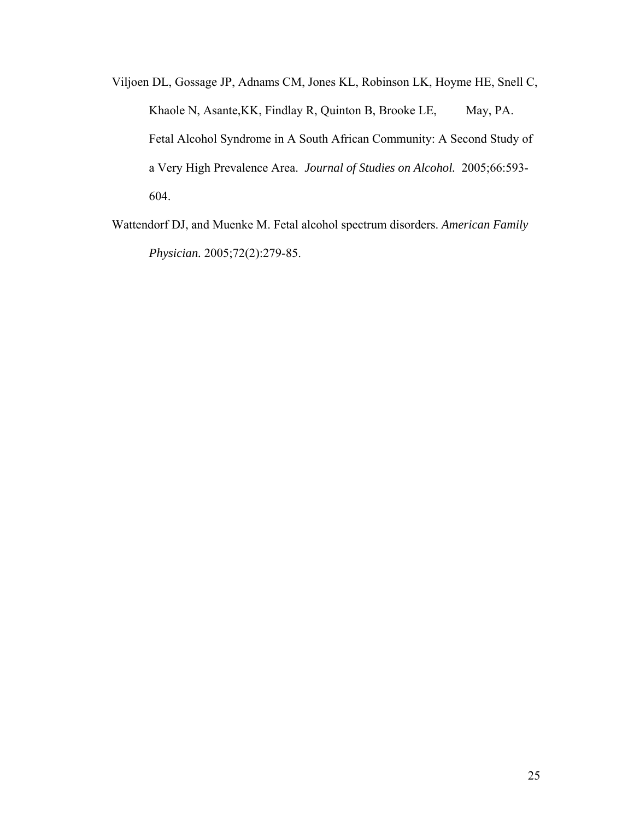Viljoen DL, Gossage JP, Adnams CM, Jones KL, Robinson LK, Hoyme HE, Snell C, Khaole N, Asante, KK, Findlay R, Quinton B, Brooke LE, May, PA. Fetal Alcohol Syndrome in A South African Community: A Second Study of a Very High Prevalence Area. *Journal of Studies on Alcohol.* 2005;66:593- 604.

Wattendorf DJ, and Muenke M. Fetal alcohol spectrum disorders. *American Family Physician.* 2005;72(2):279-85.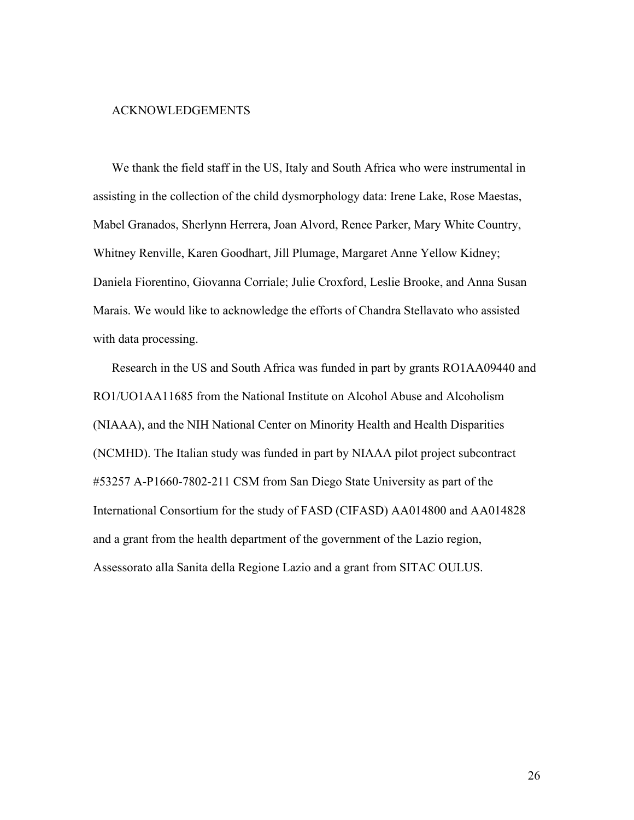## ACKNOWLEDGEMENTS

We thank the field staff in the US, Italy and South Africa who were instrumental in assisting in the collection of the child dysmorphology data: Irene Lake, Rose Maestas, Mabel Granados, Sherlynn Herrera, Joan Alvord, Renee Parker, Mary White Country, Whitney Renville, Karen Goodhart, Jill Plumage, Margaret Anne Yellow Kidney; Daniela Fiorentino, Giovanna Corriale; Julie Croxford, Leslie Brooke, and Anna Susan Marais. We would like to acknowledge the efforts of Chandra Stellavato who assisted with data processing.

Research in the US and South Africa was funded in part by grants RO1AA09440 and RO1/UO1AA11685 from the National Institute on Alcohol Abuse and Alcoholism (NIAAA), and the NIH National Center on Minority Health and Health Disparities (NCMHD). The Italian study was funded in part by NIAAA pilot project subcontract #53257 A-P1660-7802-211 CSM from San Diego State University as part of the International Consortium for the study of FASD (CIFASD) AA014800 and AA014828 and a grant from the health department of the government of the Lazio region, Assessorato alla Sanita della Regione Lazio and a grant from SITAC OULUS.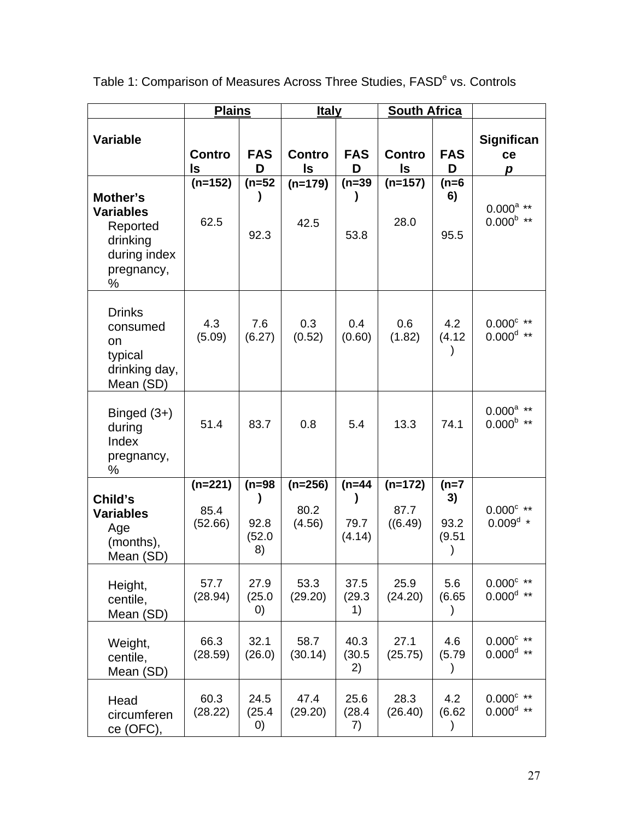|                                                                                         | <b>Plains</b>                |                                       | <b>Italy</b>                |                            | <b>South Africa</b>          |                                 |                                                  |
|-----------------------------------------------------------------------------------------|------------------------------|---------------------------------------|-----------------------------|----------------------------|------------------------------|---------------------------------|--------------------------------------------------|
| <b>Variable</b>                                                                         | Contro<br>ls                 | <b>FAS</b><br>D                       | <b>Contro</b><br>ls         | <b>FAS</b><br>D            | <b>Contro</b><br><b>Is</b>   | <b>FAS</b><br>D                 | <b>Significan</b><br>ce<br>p                     |
| Mother's<br><b>Variables</b><br>Reported<br>drinking<br>during index<br>pregnancy,<br>% | $(n=152)$<br>62.5            | $(n=52)$<br>92.3                      | $(n=179)$<br>42.5           | $(n=39)$<br>53.8           | $(n=157)$<br>28.0            | $(n=6)$<br>6)<br>95.5           | $0.000^{a}$ **<br>$0.000^{\mathrm{b}\ \ast\ast}$ |
| <b>Drinks</b><br>consumed<br>on<br>typical<br>drinking day,<br>Mean (SD)                | 4.3<br>(5.09)                | 7.6<br>(6.27)                         | 0.3<br>(0.52)               | 0.4<br>(0.60)              | 0.6<br>(1.82)                | 4.2<br>(4.12)                   | $0.000^{\circ}$ **<br>$0.000^d$ **               |
| Binged $(3+)$<br>during<br>Index<br>pregnancy,<br>%                                     | 51.4                         | 83.7                                  | 0.8                         | 5.4                        | 13.3                         | 74.1                            | $0.000^{a}$ **<br>$0.000^{b}$ **                 |
| Child's<br><b>Variables</b><br>Age<br>(months),<br>Mean (SD)                            | $(n=221)$<br>85.4<br>(52.66) | $(n=98)$<br>)<br>92.8<br>(52.0)<br>8) | $(n=256)$<br>80.2<br>(4.56) | $(n=44)$<br>79.7<br>(4.14) | $(n=172)$<br>87.7<br>((6.49) | $(n=7)$<br>3)<br>93.2<br>(9.51) | $0.000^{\circ}$ **<br>$0.009^{\rm d}$ *          |
| Height,<br>centile,<br>Mean (SD)                                                        | 57.7<br>(28.94)              | 27.9<br>(25.0)<br>$\left( 0\right)$   | 53.3<br>(29.20)             | 37.5<br>(29.3)<br>1)       | 25.9<br>(24.20)              | 5.6<br>(6.65)<br>$\mathcal{E}$  | $0.000^{\circ}$ **<br>$0.000^d$ **               |
| Weight,<br>centile,<br>Mean (SD)                                                        | 66.3<br>(28.59)              | 32.1<br>(26.0)                        | 58.7<br>(30.14)             | 40.3<br>(30.5)<br>2)       | 27.1<br>(25.75)              | 4.6<br>(5.79)<br>$\mathcal{E}$  | $0.000^{\circ}$ **<br>$0.000^d$ **               |
| Head<br>circumferen<br>ce (OFC),                                                        | 60.3<br>(28.22)              | 24.5<br>(25.4)<br>$\left( 0\right)$   | 47.4<br>(29.20)             | 25.6<br>(28.4)<br>7)       | 28.3<br>(26.40)              | 4.2<br>(6.62)<br>$\mathcal{C}$  | $0.000^{\circ}$ **<br>$0.000^d$ **               |

Table 1: Comparison of Measures Across Three Studies, FASD<sup>e</sup> vs. Controls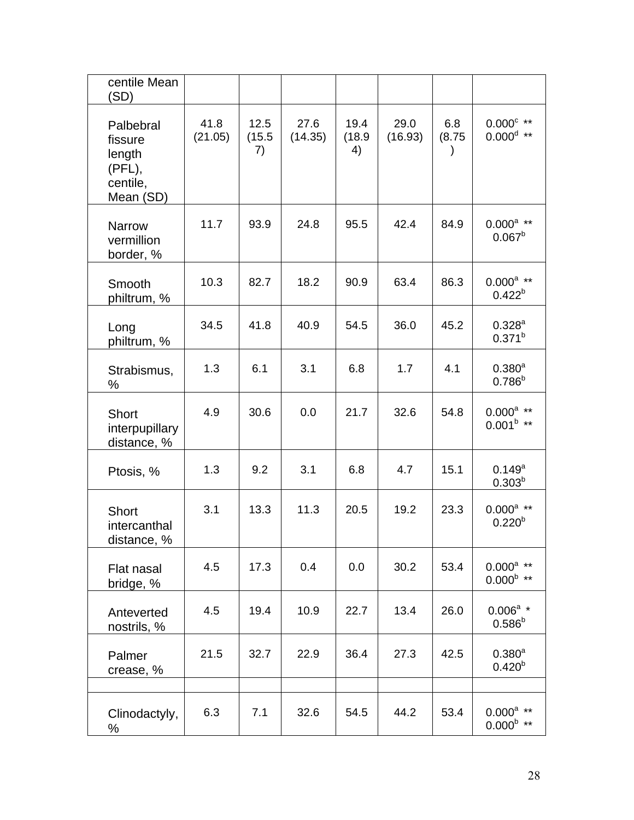| centile Mean<br>(SD)                                              |                 |                      |                 |                      |                 |                            |                                                |
|-------------------------------------------------------------------|-----------------|----------------------|-----------------|----------------------|-----------------|----------------------------|------------------------------------------------|
| Palbebral<br>fissure<br>length<br>(PFL),<br>centile,<br>Mean (SD) | 41.8<br>(21.05) | 12.5<br>(15.5)<br>7) | 27.6<br>(14.35) | 19.4<br>(18.9)<br>4) | 29.0<br>(16.93) | 6.8<br>(8.75)<br>$\lambda$ | $0.000^{\circ}$ **<br>$0.000^{\rm d}$ **       |
| <b>Narrow</b><br>vermillion<br>border, %                          | 11.7            | 93.9                 | 24.8            | 95.5                 | 42.4            | 84.9                       | $0.000^{a}$ **<br>$0.067^b$                    |
| Smooth<br>philtrum, %                                             | 10.3            | 82.7                 | 18.2            | 90.9                 | 63.4            | 86.3                       | $0.000^a$ **<br>$0.422^{b}$                    |
| Long<br>philtrum, %                                               | 34.5            | 41.8                 | 40.9            | 54.5                 | 36.0            | 45.2                       | $0.328^{a}$<br>$0.371^{b}$                     |
| Strabismus,<br>%                                                  | 1.3             | 6.1                  | 3.1             | 6.8                  | 1.7             | 4.1                        | $0.380^{a}$<br>$0.786^{b}$                     |
| Short<br>interpupillary<br>distance, %                            | 4.9             | 30.6                 | 0.0             | 21.7                 | 32.6            | 54.8                       | $0.000$ <sup>a</sup> **<br>$0.001^{b}$ **      |
| Ptosis, %                                                         | 1.3             | 9.2                  | 3.1             | 6.8                  | 4.7             | 15.1                       | $0.149^{a}$<br>$0.303^{b}$                     |
| <b>Short</b><br>intercanthal<br>distance, %                       | 3.1             | 13.3                 | 11.3            | 20.5                 | 19.2            | 23.3                       | $0.000^{\text{a}}$ **<br>$0.220^{b}$           |
| Flat nasal<br>bridge, %                                           | 4.5             | 17.3                 | 0.4             | 0.0                  | 30.2            | 53.4                       | $0.000^{\rm a}$ **<br>$0.000^{b}$ **           |
| Anteverted<br>nostrils, %                                         | 4.5             | 19.4                 | 10.9            | 22.7                 | 13.4            | 26.0                       | $0.006^a$ *<br>$0.586^{b}$                     |
| Palmer<br>crease, %                                               | 21.5            | 32.7                 | 22.9            | 36.4                 | 27.3            | 42.5                       | $0.380^{a}$<br>$0.420^{b}$                     |
|                                                                   |                 |                      |                 |                      |                 |                            |                                                |
| Clinodactyly,<br>%                                                | 6.3             | 7.1                  | 32.6            | 54.5                 | 44.2            | 53.4                       | $0.000^a$ **<br>$0.000^{\mathrm{b}\ \ast\ast}$ |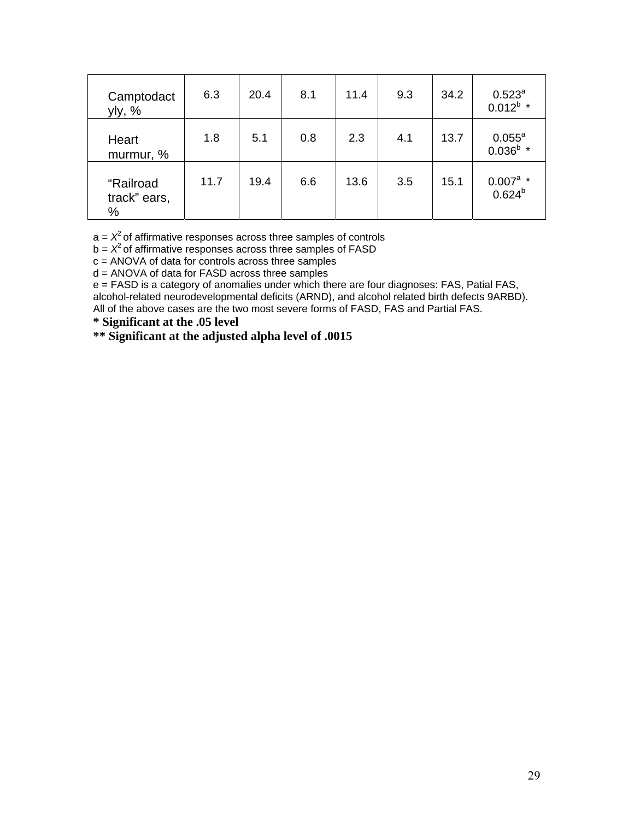| Camptodact<br>yly, %           | 6.3  | 20.4 | 8.1 | 11.4 | 9.3 | 34.2 | $0.523^a$<br>$0.012^b$ *   |
|--------------------------------|------|------|-----|------|-----|------|----------------------------|
| Heart<br>murmur, %             | 1.8  | 5.1  | 0.8 | 2.3  | 4.1 | 13.7 | $0.055^a$<br>$0.036^b$ *   |
| "Railroad<br>track" ears,<br>% | 11.7 | 19.4 | 6.6 | 13.6 | 3.5 | 15.1 | $0.007^a$ *<br>$0.624^{b}$ |

 $a = X<sup>2</sup>$  of affirmative responses across three samples of controls

 $b = X<sup>2</sup>$  of affirmative responses across three samples of FASD

c = ANOVA of data for controls across three samples

d = ANOVA of data for FASD across three samples

e = FASD is a category of anomalies under which there are four diagnoses: FAS, Patial FAS, alcohol-related neurodevelopmental deficits (ARND), and alcohol related birth defects 9ARBD). All of the above cases are the two most severe forms of FASD, FAS and Partial FAS.

**\* Significant at the .05 level** 

**\*\* Significant at the adjusted alpha level of .0015**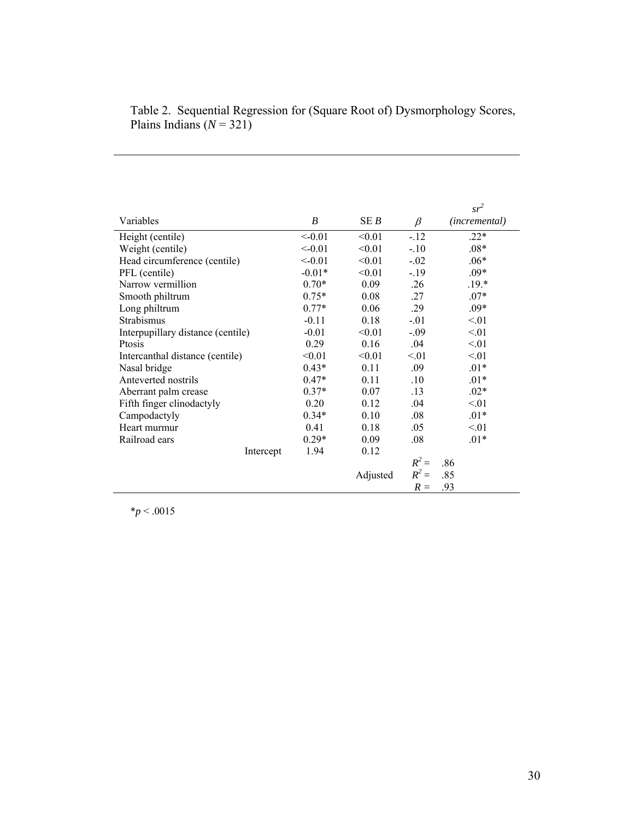|                                   |          |          |         | $sr^2$                 |
|-----------------------------------|----------|----------|---------|------------------------|
| Variables                         | B        | SE B     | $\beta$ | ( <i>incremental</i> ) |
| Height (centile)                  | < 0.01   | < 0.01   | $-12$   | $.22*$                 |
| Weight (centile)                  | < 0.01   | < 0.01   | $-.10$  | $.08*$                 |
| Head circumference (centile)      | $<-0.01$ | < 0.01   | $-.02$  | $.06*$                 |
| PFL (centile)                     | $-0.01*$ | < 0.01   | $-19$   | $.09*$                 |
| Narrow vermillion                 | $0.70*$  | 0.09     | .26     | $.19.*$                |
| Smooth philtrum                   | $0.75*$  | 0.08     | .27     | $.07*$                 |
| Long philtrum                     | $0.77*$  | 0.06     | .29     | $.09*$                 |
| Strabismus                        | $-0.11$  | 0.18     | $-01$   | < 01                   |
| Interpupillary distance (centile) | $-0.01$  | < 0.01   | $-.09$  | < 01                   |
| Ptosis                            | 0.29     | 0.16     | .04     | < 01                   |
| Intercanthal distance (centile)   | < 0.01   | < 0.01   | < 01    | < 01                   |
| Nasal bridge                      | $0.43*$  | 0.11     | .09     | $.01*$                 |
| Anteverted nostrils               | $0.47*$  | 0.11     | .10     | $.01*$                 |
| Aberrant palm crease              | $0.37*$  | 0.07     | .13     | $.02*$                 |
| Fifth finger clinodactyly         | 0.20     | 0.12     | .04     | $\leq 01$              |
| Campodactyly                      | $0.34*$  | 0.10     | .08     | $.01*$                 |
| Heart murmur                      | 0.41     | 0.18     | .05     | $\leq 01$              |
| Railroad ears                     | $0.29*$  | 0.09     | .08     | $.01*$                 |
| Intercept                         | 1.94     | 0.12     |         |                        |
|                                   |          |          | $R^2 =$ | .86                    |
|                                   |          | Adjusted | $R^2 =$ | .85                    |
|                                   |          |          | $R =$   | .93                    |

## Table 2. Sequential Regression for (Square Root of) Dysmorphology Scores, Plains Indians  $(N = 321)$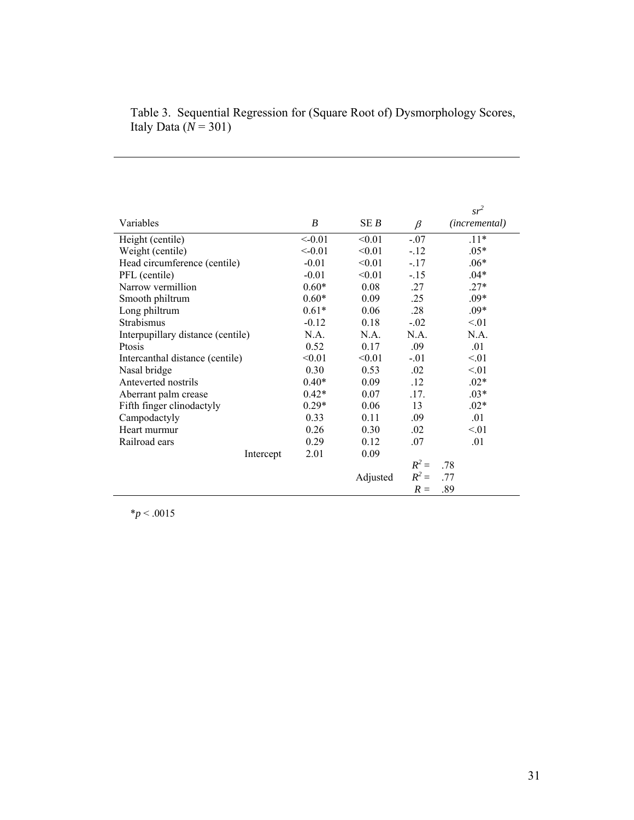|                                   |                  |          |         | $sr^2$        |
|-----------------------------------|------------------|----------|---------|---------------|
| Variables                         | $\boldsymbol{B}$ | SE B     | $\beta$ | (incremental) |
| Height (centile)                  | < 0.01           | < 0.01   | $-.07$  | $.11*$        |
| Weight (centile)                  | < 0.01           | < 0.01   | $-12$   | $.05*$        |
| Head circumference (centile)      | $-0.01$          | < 0.01   | $-17$   | $.06*$        |
| PFL (centile)                     | $-0.01$          | < 0.01   | $-15$   | $.04*$        |
| Narrow vermillion                 | $0.60*$          | 0.08     | 27      | $.27*$        |
| Smooth philtrum                   | $0.60*$          | 0.09     | .25     | $.09*$        |
| Long philtrum                     | $0.61*$          | 0.06     | .28     | $.09*$        |
| Strabismus                        | $-0.12$          | 0.18     | $-.02$  | < 01          |
| Interpupillary distance (centile) | N.A.             | N.A.     | N A     | N A           |
| Ptosis                            | 0.52             | 0.17     | .09     | .01           |
| Intercanthal distance (centile)   | < 0.01           | < 0.01   | $-.01$  | < 01          |
| Nasal bridge                      | 0.30             | 0.53     | 02      | < 01          |
| Anteverted nostrils               | $0.40*$          | 0.09     | .12     | $.02*$        |
| Aberrant palm crease              | $0.42*$          | 0.07     | 17      | $.03*$        |
| Fifth finger clinodactyly         | $0.29*$          | 0.06     | 13      | $.02*$        |
| Campodactyly                      | 0.33             | 0.11     | .09     | .01           |
| Heart murmur                      | 0.26             | 0.30     | 02      | $\leq 01$     |
| Railroad ears                     | 0.29             | 0.12     | .07     | .01           |
| Intercept                         | 2.01             | 0.09     |         |               |
|                                   |                  |          | $R^2 =$ | .78           |
|                                   |                  | Adjusted | $R^2 =$ | .77           |
|                                   |                  |          | $R =$   | .89           |
|                                   |                  |          |         |               |

Table 3. Sequential Regression for (Square Root of) Dysmorphology Scores, Italy Data (*N* = 301)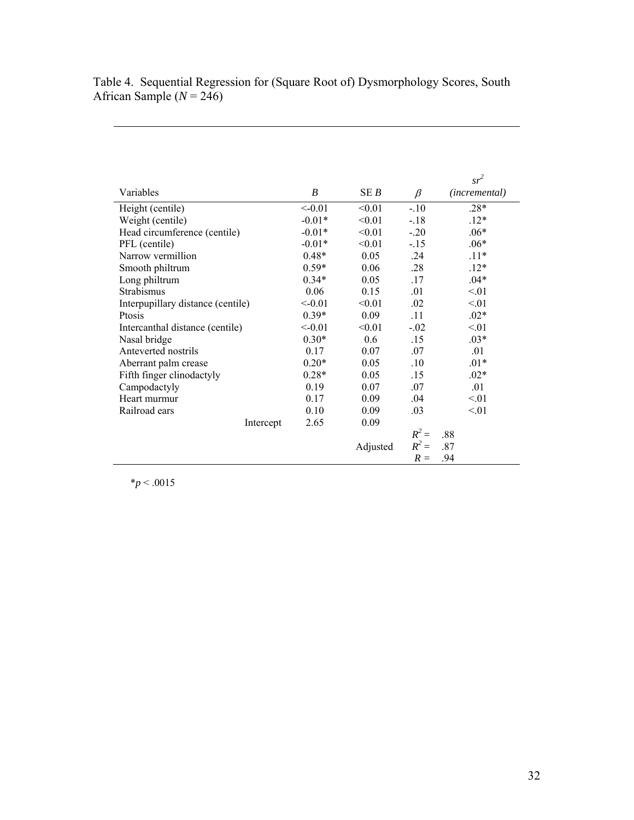Table 4. Sequential Regression for (Square Root of) Dysmorphology Scores, South African Sample (*N* = 246)

|                                   |          |          |         | $sr^2$        |
|-----------------------------------|----------|----------|---------|---------------|
| Variables                         | B        | SE B     | $\beta$ | (incremental) |
| Height (centile)                  | < 0.01   | < 0.01   | $-.10$  | $.28*$        |
| Weight (centile)                  | $-0.01*$ | < 0.01   | $-.18$  | $.12*$        |
| Head circumference (centile)      | $-0.01*$ | < 0.01   | $-.20$  | $.06*$        |
| PFL (centile)                     | $-0.01*$ | < 0.01   | $-15$   | $.06*$        |
| Narrow vermillion                 | $0.48*$  | 0.05     | .24     | $.11*$        |
| Smooth philtrum                   | $0.59*$  | 0.06     | .28     | $.12*$        |
| Long philtrum                     | $0.34*$  | 0.05     | .17     | $.04*$        |
| Strabismus                        | 0.06     | 0.15     | .01     | < 01          |
| Interpupillary distance (centile) | < 0.01   | < 0.01   | .02     | < 01          |
| Ptosis                            | $0.39*$  | 0.09     | .11     | $.02*$        |
| Intercanthal distance (centile)   | < 0.01   | < 0.01   | $-.02$  | < 01          |
| Nasal bridge                      | $0.30*$  | 0.6      | .15     | $.03*$        |
| Anteverted nostrils               | 0.17     | 0.07     | .07     | .01           |
| Aberrant palm crease              | $0.20*$  | 0.05     | .10     | $.01*$        |
| Fifth finger clinodactyly         | $0.28*$  | 0.05     | .15     | $.02*$        |
| Campodactyly                      | 0.19     | 0.07     | .07     | .01           |
| Heart murmur                      | 0.17     | 0.09     | .04     | < 01          |
| Railroad ears                     | 0.10     | 0.09     | .03     | < 01          |
| Intercept                         | 2.65     | 0.09     |         |               |
|                                   |          |          | $R^2 =$ | .88           |
|                                   |          | Adjusted | $R^2 =$ | .87           |
|                                   |          |          | $R =$   | .94           |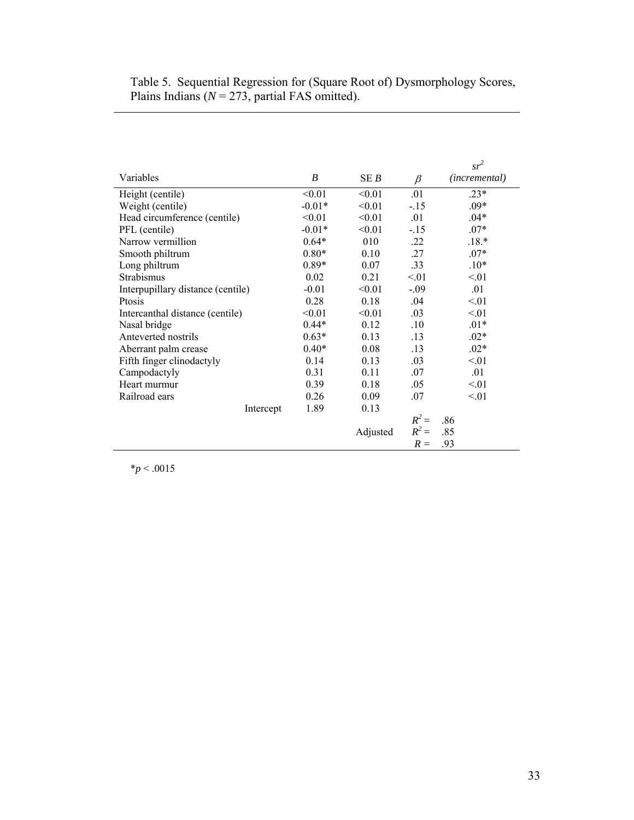| Table 5. Sequential Regression for (Square Root of) Dysmorphology Scores, |
|---------------------------------------------------------------------------|
| Plains Indians ( $N = 273$ , partial FAS omitted).                        |

|                                   |          |          |         | $sr^2$        |
|-----------------------------------|----------|----------|---------|---------------|
| Variables                         | B        | SE B     | $\beta$ | (incremental) |
| Height (centile)                  | < 0.01   | < 0.01   | .01     | $.23*$        |
| Weight (centile)                  | $-0.01*$ | < 0.01   | $-15$   | $.09*$        |
| Head circumference (centile)      | < 0.01   | < 0.01   | .01     | $.04*$        |
| PFL (centile)                     | $-0.01*$ | < 0.01   | $-.15$  | $.07*$        |
| Narrow vermillion                 | $0.64*$  | 010      | .22     | $.18.*$       |
| Smooth philtrum                   | $0.80*$  | 0.10     | .27     | $.07*$        |
| Long philtrum                     | $0.89*$  | 0.07     | .33     | $.10*$        |
| Strabismus                        | 0.02     | 0.21     | < 01    | < 01          |
| Interpupillary distance (centile) | $-0.01$  | < 0.01   | $-.09$  | .01           |
| Ptosis                            | 0.28     | 0.18     | .04     | < 01          |
| Intercanthal distance (centile)   | < 0.01   | < 0.01   | .03     | < 01          |
| Nasal bridge                      | $0.44*$  | 0.12     | .10     | $.01*$        |
| Anteverted nostrils               | $0.63*$  | 0.13     | .13     | $.02*$        |
| Aberrant palm crease              | $0.40*$  | 0.08     | .13     | $.02*$        |
| Fifth finger clinodactyly         | 0.14     | 0.13     | .03     | < 01          |
| Campodactyly                      | 0.31     | 0.11     | .07     | .01           |
| Heart murmur                      | 0.39     | 0.18     | .05     | < 01          |
| Railroad ears                     | 0.26     | 0.09     | .07     | < 01          |
| Intercept                         | 1.89     | 0.13     |         |               |
|                                   |          |          | $R^2 =$ | .86           |
|                                   |          | Adjusted | $R^2 =$ | .85           |
|                                   |          |          | $R =$   | .93           |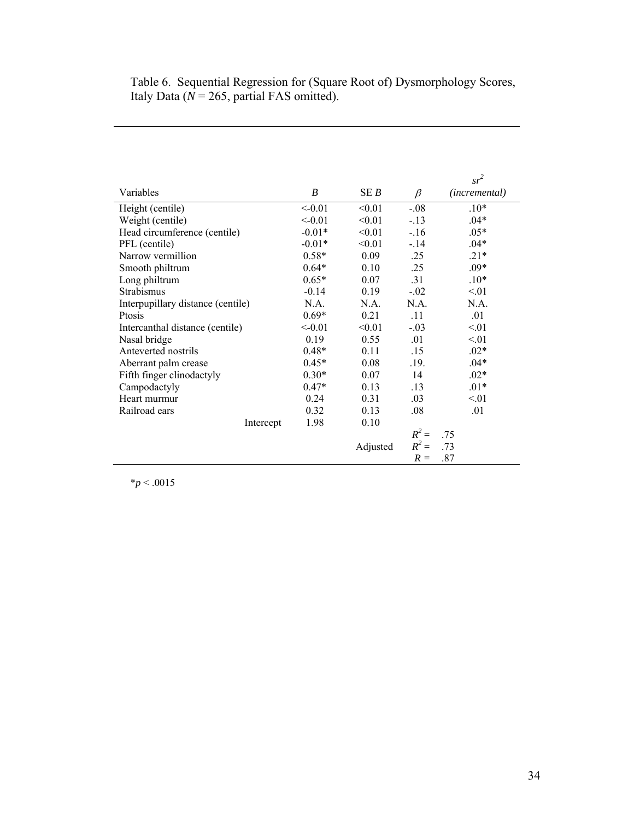Table 6. Sequential Regression for (Square Root of) Dysmorphology Scores, Italy Data ( $N = 265$ , partial FAS omitted).

|                                   |          |          |         | $sr^2$        |
|-----------------------------------|----------|----------|---------|---------------|
| Variables                         | B        | SE B     | $\beta$ | (incremental) |
| Height (centile)                  | < 0.01   | < 0.01   | $-.08$  | $.10*$        |
| Weight (centile)                  | < 0.01   | < 0.01   | $-13$   | $.04*$        |
| Head circumference (centile)      | $-0.01*$ | < 0.01   | $-16$   | $.05*$        |
| PFL (centile)                     | $-0.01*$ | < 0.01   | $-.14$  | $.04*$        |
| Narrow vermillion                 | $0.58*$  | 0.09     | .25     | $.21*$        |
| Smooth philtrum                   | $0.64*$  | 0.10     | .25     | $.09*$        |
| Long philtrum                     | $0.65*$  | 0.07     | .31     | $.10*$        |
| Strabismus                        | $-0.14$  | 0.19     | $-.02$  | < 01          |
| Interpupillary distance (centile) | N.A.     | N.A.     | N.A.    | N.A.          |
| Ptosis                            | $0.69*$  | 0.21     | .11     | .01           |
| Intercanthal distance (centile)   | < 0.01   | < 0.01   | $-.03$  | < 01          |
| Nasal bridge                      | 0.19     | 0.55     | .01     | < 01          |
| Anteverted nostrils               | $0.48*$  | 0.11     | .15     | $.02*$        |
| Aberrant palm crease              | $0.45*$  | 0.08     | .19.    | $.04*$        |
| Fifth finger clinodactyly         | $0.30*$  | 0.07     | 14      | $.02*$        |
| Campodactyly                      | $0.47*$  | 0.13     | .13     | $.01*$        |
| Heart murmur                      | 0.24     | 0.31     | .03     | < 01          |
| Railroad ears                     | 0.32     | 0.13     | .08     | .01           |
| Intercept                         | 1.98     | 0.10     |         |               |
|                                   |          |          | $R^2 =$ | .75           |
|                                   |          | Adjusted | $R^2 =$ | .73           |
|                                   |          |          | $R =$   | .87           |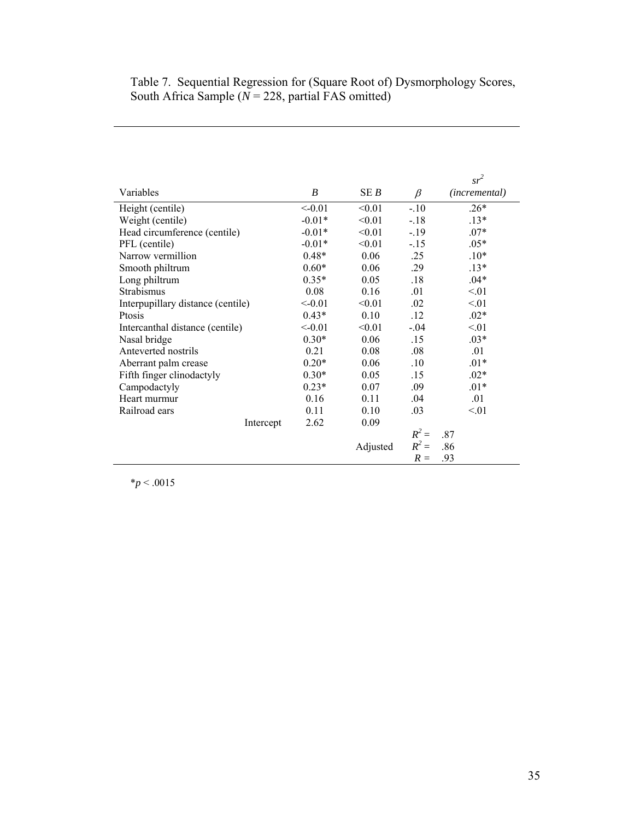## Table 7. Sequential Regression for (Square Root of) Dysmorphology Scores, South Africa Sample (*N* = 228, partial FAS omitted)

|                                   |          |          |         | $sr^2$                 |
|-----------------------------------|----------|----------|---------|------------------------|
| Variables                         | B        | SE B     | $\beta$ | ( <i>incremental</i> ) |
| Height (centile)                  | < 0.01   | < 0.01   | $-.10$  | $.26*$                 |
| Weight (centile)                  | $-0.01*$ | < 0.01   | $-.18$  | $.13*$                 |
| Head circumference (centile)      | $-0.01*$ | < 0.01   | $-.19$  | $.07*$                 |
| PFL (centile)                     | $-0.01*$ | < 0.01   | $-15$   | $.05*$                 |
| Narrow vermillion                 | $0.48*$  | 0.06     | .25     | $.10*$                 |
| Smooth philtrum                   | $0.60*$  | 0.06     | .29     | $.13*$                 |
| Long philtrum                     | $0.35*$  | 0.05     | .18     | $.04*$                 |
| Strabismus                        | 0.08     | 0.16     | .01     | < 01                   |
| Interpupillary distance (centile) | < 0.01   | < 0.01   | .02     | < 01                   |
| Ptosis                            | $0.43*$  | 0.10     | .12     | $.02*$                 |
| Intercanthal distance (centile)   | < 0.01   | < 0.01   | $-.04$  | < 01                   |
| Nasal bridge                      | $0.30*$  | 0.06     | .15     | $.03*$                 |
| Anteverted nostrils               | 0.21     | 0.08     | .08     | .01                    |
| Aberrant palm crease              | $0.20*$  | 0.06     | .10     | $.01*$                 |
| Fifth finger clinodactyly         | $0.30*$  | 0.05     | .15     | $.02*$                 |
| Campodactyly                      | $0.23*$  | 0.07     | .09     | $.01*$                 |
| Heart murmur                      | 0.16     | 0.11     | .04     | .01                    |
| Railroad ears                     | 0.11     | 0.10     | .03     | < 01                   |
| Intercept                         | 2.62     | 0.09     |         |                        |
|                                   |          |          | $R^2 =$ | .87                    |
|                                   |          | Adjusted | $R^2 =$ | .86                    |
|                                   |          |          | $R =$   | .93                    |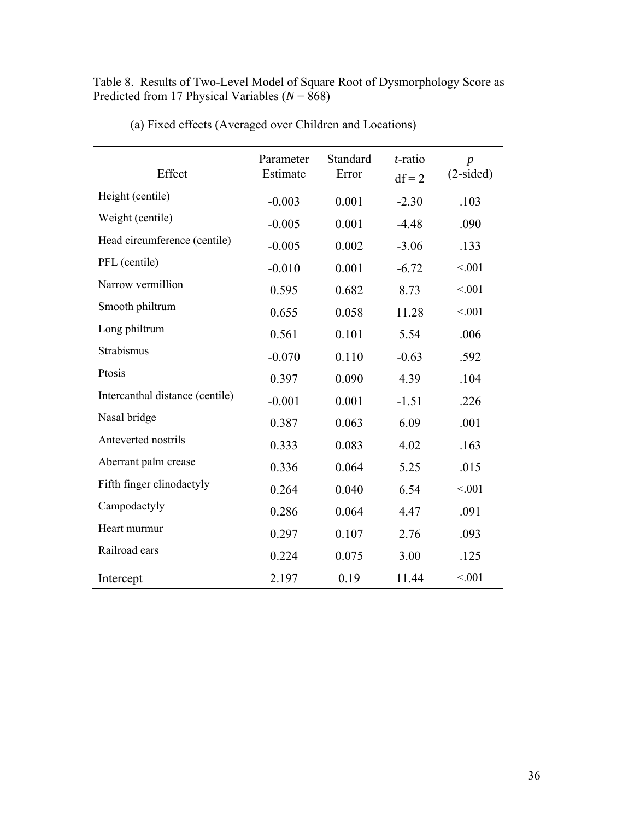Table 8. Results of Two-Level Model of Square Root of Dysmorphology Score as Predicted from 17 Physical Variables (*N* = 868)

| Effect                          | Parameter<br>Estimate | Standard<br>Error | $t$ -ratio<br>$df = 2$ | $\boldsymbol{p}$<br>$(2-sided)$ |
|---------------------------------|-----------------------|-------------------|------------------------|---------------------------------|
| Height (centile)                | $-0.003$              | 0.001             | $-2.30$                | .103                            |
| Weight (centile)                | $-0.005$              | 0.001             | $-4.48$                | .090                            |
| Head circumference (centile)    | $-0.005$              | 0.002             | $-3.06$                | .133                            |
| PFL (centile)                   | $-0.010$              | 0.001             | $-6.72$                | < 0.01                          |
| Narrow vermillion               | 0.595                 | 0.682             | 8.73                   | < 0.01                          |
| Smooth philtrum                 | 0.655                 | 0.058             | 11.28                  | < 0.01                          |
| Long philtrum                   | 0.561                 | 0.101             | 5.54                   | .006                            |
| Strabismus                      | $-0.070$              | 0.110             | $-0.63$                | .592                            |
| Ptosis                          | 0.397                 | 0.090             | 4.39                   | .104                            |
| Intercanthal distance (centile) | $-0.001$              | 0.001             | $-1.51$                | .226                            |
| Nasal bridge                    | 0.387                 | 0.063             | 6.09                   | .001                            |
| Anteverted nostrils             | 0.333                 | 0.083             | 4.02                   | .163                            |
| Aberrant palm crease            | 0.336                 | 0.064             | 5.25                   | .015                            |
| Fifth finger clinodactyly       | 0.264                 | 0.040             | 6.54                   | < 0.01                          |
| Campodactyly                    | 0.286                 | 0.064             | 4.47                   | .091                            |
| Heart murmur                    | 0.297                 | 0.107             | 2.76                   | .093                            |
| Railroad ears                   | 0.224                 | 0.075             | 3.00                   | .125                            |
| Intercept                       | 2.197                 | 0.19              | 11.44                  | < 0.01                          |

(a) Fixed effects (Averaged over Children and Locations)